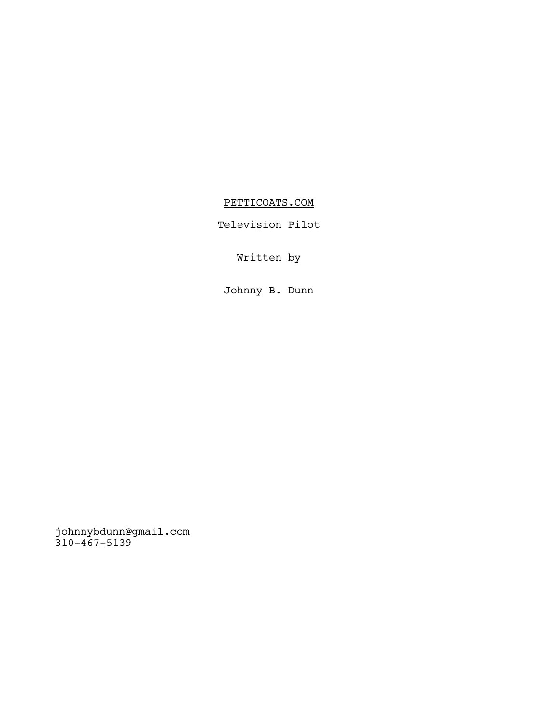# PETTICOATS.COM

Television Pilot

Written by

Johnny B. Dunn

johnnybdunn@gmail.com 310-467-5139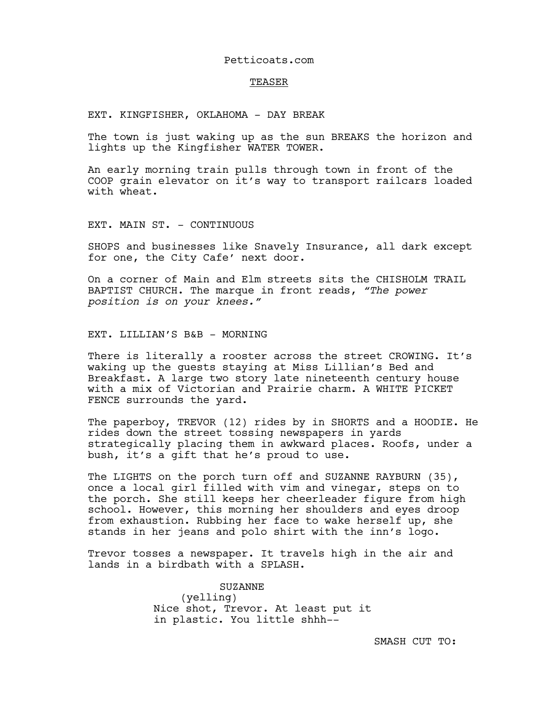### Petticoats.com

#### TEASER

EXT. KINGFISHER, OKLAHOMA - DAY BREAK

The town is just waking up as the sun BREAKS the horizon and lights up the Kingfisher WATER TOWER.

An early morning train pulls through town in front of the COOP grain elevator on it's way to transport railcars loaded with wheat.

EXT. MAIN ST. - CONTINUOUS

SHOPS and businesses like Snavely Insurance, all dark except for one, the City Cafe' next door.

On a corner of Main and Elm streets sits the CHISHOLM TRAIL BAPTIST CHURCH. The marque in front reads, *"The power position is on your knees."*

## EXT. LILLIAN'S B&B - MORNING

There is literally a rooster across the street CROWING. It's waking up the guests staying at Miss Lillian's Bed and Breakfast. A large two story late nineteenth century house with a mix of Victorian and Prairie charm. A WHITE PICKET FENCE surrounds the yard.

The paperboy, TREVOR (12) rides by in SHORTS and a HOODIE. He rides down the street tossing newspapers in yards strategically placing them in awkward places. Roofs, under a bush, it's a gift that he's proud to use.

The LIGHTS on the porch turn off and SUZANNE RAYBURN (35), once a local girl filled with vim and vinegar, steps on to the porch. She still keeps her cheerleader figure from high school. However, this morning her shoulders and eyes droop from exhaustion. Rubbing her face to wake herself up, she stands in her jeans and polo shirt with the inn's logo.

Trevor tosses a newspaper. It travels high in the air and lands in a birdbath with a SPLASH.

> SUZANNE (yelling) Nice shot, Trevor. At least put it in plastic. You little shhh--

> > SMASH CUT TO: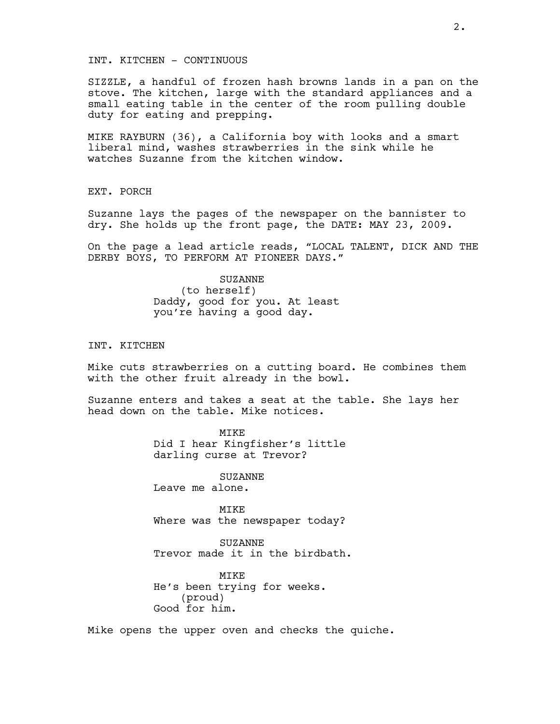### INT. KITCHEN - CONTINUOUS

SIZZLE, a handful of frozen hash browns lands in a pan on the stove. The kitchen, large with the standard appliances and a small eating table in the center of the room pulling double duty for eating and prepping.

MIKE RAYBURN (36), a California boy with looks and a smart liberal mind, washes strawberries in the sink while he watches Suzanne from the kitchen window.

EXT. PORCH

Suzanne lays the pages of the newspaper on the bannister to dry. She holds up the front page, the DATE: MAY 23, 2009.

On the page a lead article reads, "LOCAL TALENT, DICK AND THE DERBY BOYS, TO PERFORM AT PIONEER DAYS."

> SUZANNE (to herself) Daddy, good for you. At least you're having a good day.

INT. KITCHEN

Mike cuts strawberries on a cutting board. He combines them with the other fruit already in the bowl.

Suzanne enters and takes a seat at the table. She lays her head down on the table. Mike notices.

> **MTKE** Did I hear Kingfisher's little darling curse at Trevor?

SUZANNE Leave me alone.

MIKE Where was the newspaper today?

SUZANNE Trevor made it in the birdbath.

**MTKE** He's been trying for weeks. (proud) Good for him.

Mike opens the upper oven and checks the quiche.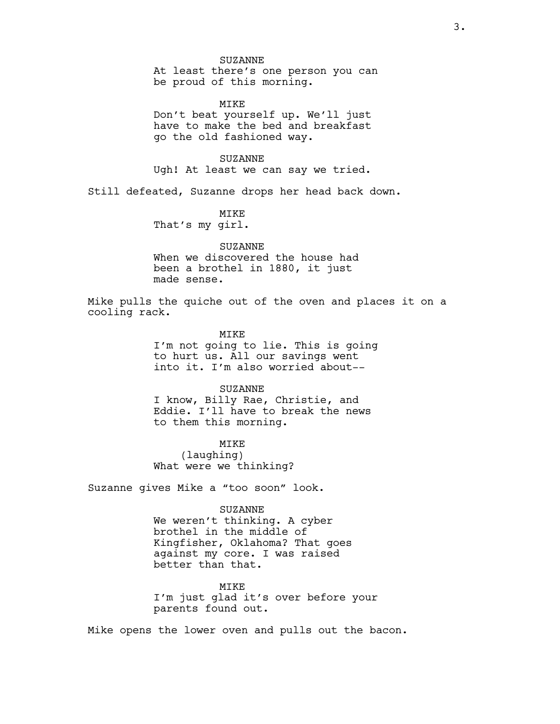At least there's one person you can be proud of this morning.

MIKE Don't beat yourself up. We'll just have to make the bed and breakfast go the old fashioned way.

SUZANNE Ugh! At least we can say we tried.

Still defeated, Suzanne drops her head back down.

MIKE That's my girl.

# SUZANNE

When we discovered the house had been a brothel in 1880, it just made sense.

Mike pulls the quiche out of the oven and places it on a cooling rack.

> **MTKE** I'm not going to lie. This is going to hurt us. All our savings went into it. I'm also worried about--

# SUZANNE

I know, Billy Rae, Christie, and Eddie. I'll have to break the news to them this morning.

MIKE (laughing) What were we thinking?

Suzanne gives Mike a "too soon" look.

#### SUZANNE

We weren't thinking. A cyber brothel in the middle of Kingfisher, Oklahoma? That goes against my core. I was raised better than that.

MTK<sub>E</sub> I'm just glad it's over before your parents found out.

Mike opens the lower oven and pulls out the bacon.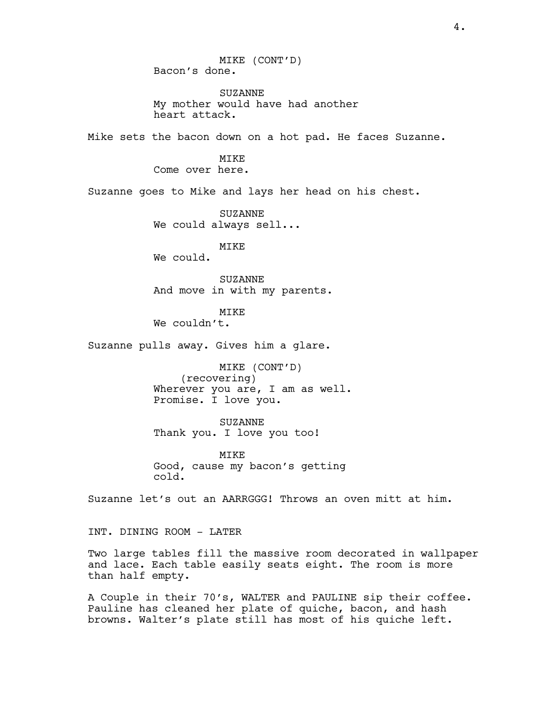MIKE (CONT'D) Bacon's done.

SUZANNE My mother would have had another heart attack.

Mike sets the bacon down on a hot pad. He faces Suzanne.

MIKE Come over here.

Suzanne goes to Mike and lays her head on his chest.

SUZANNE We could always sell...

MIKE

We could.

SUZANNE And move in with my parents.

**MTKE** We couldn't.

Suzanne pulls away. Gives him a glare.

MIKE (CONT'D) (recovering) Wherever you are, I am as well. Promise. I love you.

SUZANNE Thank you. I love you too!

MIKE Good, cause my bacon's getting cold.

Suzanne let's out an AARRGGG! Throws an oven mitt at him.

INT. DINING ROOM - LATER

Two large tables fill the massive room decorated in wallpaper and lace. Each table easily seats eight. The room is more than half empty.

A Couple in their 70's, WALTER and PAULINE sip their coffee. Pauline has cleaned her plate of quiche, bacon, and hash browns. Walter's plate still has most of his quiche left.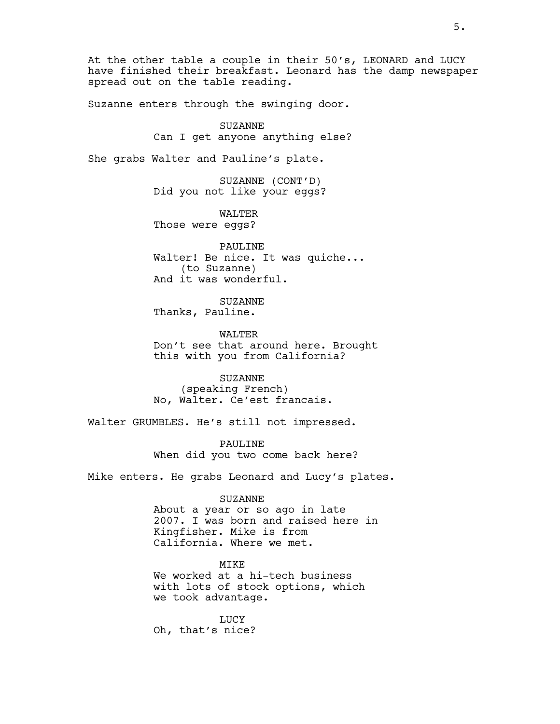At the other table a couple in their 50's, LEONARD and LUCY have finished their breakfast. Leonard has the damp newspaper spread out on the table reading.

Suzanne enters through the swinging door.

SUZANNE Can I get anyone anything else?

She grabs Walter and Pauline's plate.

SUZANNE (CONT'D) Did you not like your eggs?

WALTER Those were eggs?

PAULINE Walter! Be nice. It was quiche... (to Suzanne) And it was wonderful.

SUZANNE Thanks, Pauline.

WALTER Don't see that around here. Brought this with you from California?

SUZANNE (speaking French) No, Walter. Ce'est francais.

Walter GRUMBLES. He's still not impressed.

PAULINE When did you two come back here?

Mike enters. He grabs Leonard and Lucy's plates.

#### SUZANNE

About a year or so ago in late 2007. I was born and raised here in Kingfisher. Mike is from California. Where we met.

MIKE We worked at a hi-tech business with lots of stock options, which we took advantage.

**LUCY** Oh, that's nice?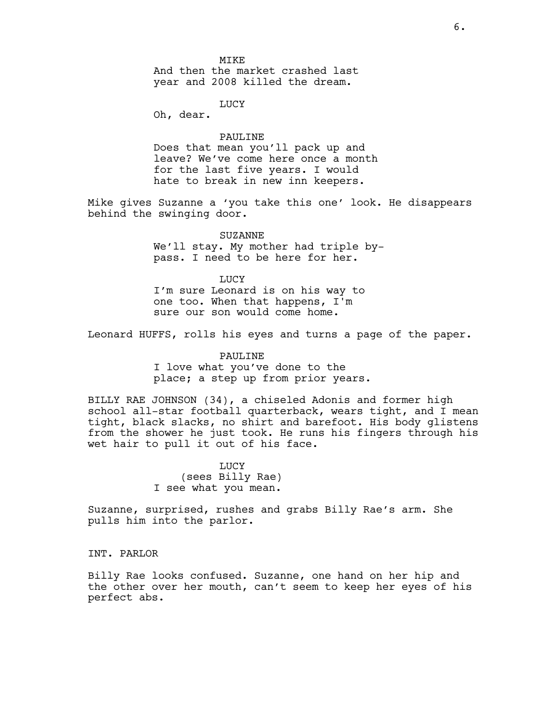MIKE And then the market crashed last year and 2008 killed the dream.

**LUCY** 

Oh, dear.

PAULINE Does that mean you'll pack up and leave? We've come here once a month for the last five years. I would hate to break in new inn keepers.

Mike gives Suzanne a 'you take this one' look. He disappears behind the swinging door.

> SUZANNE We'll stay. My mother had triple bypass. I need to be here for her.

**LUCY** I'm sure Leonard is on his way to one too. When that happens, I'm sure our son would come home.

Leonard HUFFS, rolls his eyes and turns a page of the paper.

PAULINE I love what you've done to the place; a step up from prior years.

BILLY RAE JOHNSON (34), a chiseled Adonis and former high school all-star football quarterback, wears tight, and I mean tight, black slacks, no shirt and barefoot. His body glistens from the shower he just took. He runs his fingers through his wet hair to pull it out of his face.

> LUCY (sees Billy Rae) I see what you mean.

Suzanne, surprised, rushes and grabs Billy Rae's arm. She pulls him into the parlor.

INT. PARLOR

Billy Rae looks confused. Suzanne, one hand on her hip and the other over her mouth, can't seem to keep her eyes of his perfect abs.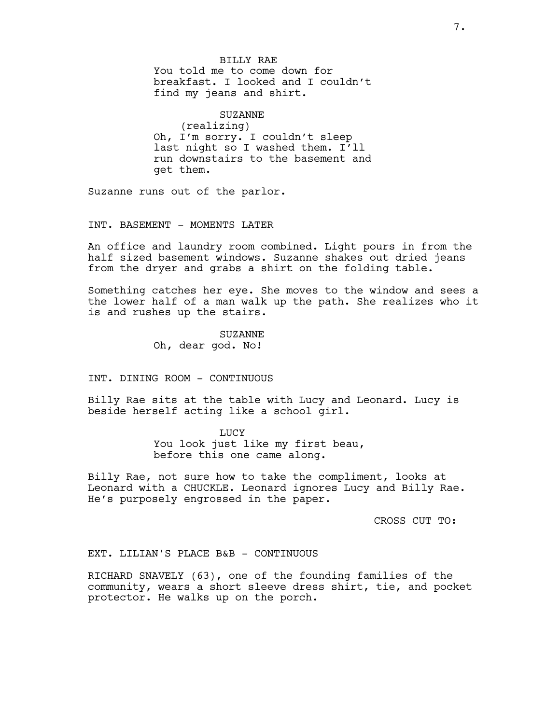BILLY RAE You told me to come down for breakfast. I looked and I couldn't find my jeans and shirt.

SUZANNE (realizing) Oh, I'm sorry. I couldn't sleep last night so I washed them. I'll run downstairs to the basement and get them.

Suzanne runs out of the parlor.

INT. BASEMENT - MOMENTS LATER

An office and laundry room combined. Light pours in from the half sized basement windows. Suzanne shakes out dried jeans from the dryer and grabs a shirt on the folding table.

Something catches her eye. She moves to the window and sees a the lower half of a man walk up the path. She realizes who it is and rushes up the stairs.

> SUZANNE Oh, dear god. No!

INT. DINING ROOM - CONTINUOUS

Billy Rae sits at the table with Lucy and Leonard. Lucy is beside herself acting like a school girl.

> **LUCY** You look just like my first beau, before this one came along.

Billy Rae, not sure how to take the compliment, looks at Leonard with a CHUCKLE. Leonard ignores Lucy and Billy Rae. He's purposely engrossed in the paper.

CROSS CUT TO:

EXT. LILIAN'S PLACE B&B - CONTINUOUS

RICHARD SNAVELY (63), one of the founding families of the community, wears a short sleeve dress shirt, tie, and pocket protector. He walks up on the porch.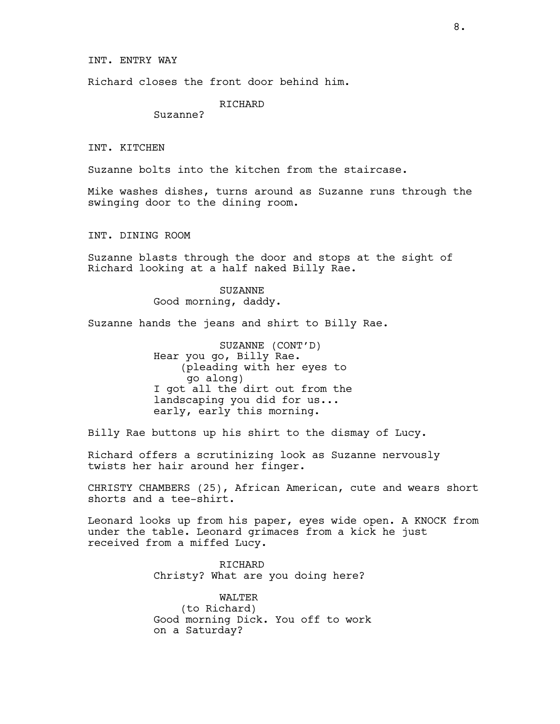INT. ENTRY WAY

Richard closes the front door behind him.

RICHARD

Suzanne?

INT. KITCHEN

Suzanne bolts into the kitchen from the staircase.

Mike washes dishes, turns around as Suzanne runs through the swinging door to the dining room.

INT. DINING ROOM

Suzanne blasts through the door and stops at the sight of Richard looking at a half naked Billy Rae.

> SUZANNE Good morning, daddy.

Suzanne hands the jeans and shirt to Billy Rae.

SUZANNE (CONT'D) Hear you go, Billy Rae. (pleading with her eyes to go along) I got all the dirt out from the landscaping you did for us... early, early this morning.

Billy Rae buttons up his shirt to the dismay of Lucy.

Richard offers a scrutinizing look as Suzanne nervously twists her hair around her finger.

CHRISTY CHAMBERS (25), African American, cute and wears short shorts and a tee-shirt.

Leonard looks up from his paper, eyes wide open. A KNOCK from under the table. Leonard grimaces from a kick he just received from a miffed Lucy.

> RICHARD Christy? What are you doing here?

WALTER (to Richard) Good morning Dick. You off to work on a Saturday?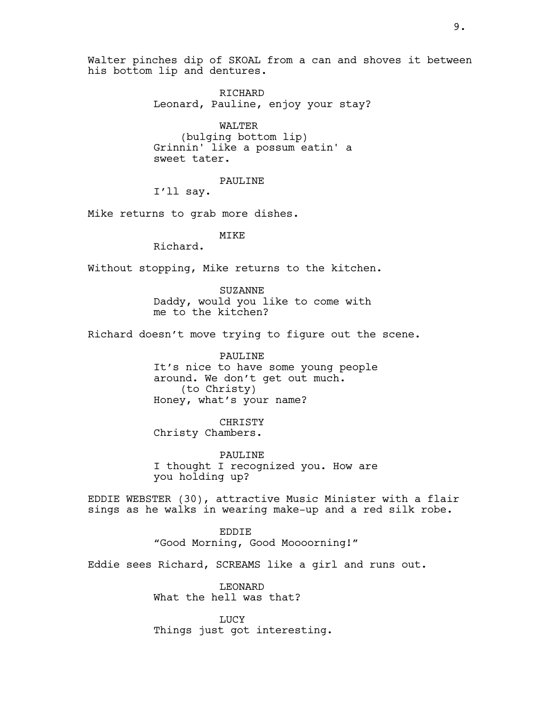Walter pinches dip of SKOAL from a can and shoves it between his bottom lip and dentures.

> RICHARD Leonard, Pauline, enjoy your stay?

WALTER (bulging bottom lip) Grinnin' like a possum eatin' a sweet tater.

PAULINE

I'll say.

Mike returns to grab more dishes.

MIKE

Richard.

Without stopping, Mike returns to the kitchen.

SUZANNE Daddy, would you like to come with me to the kitchen?

Richard doesn't move trying to figure out the scene.

PAULINE It's nice to have some young people around. We don't get out much. (to Christy) Honey, what's your name?

CHRISTY Christy Chambers.

PAULINE I thought I recognized you. How are you holding up?

EDDIE WEBSTER (30), attractive Music Minister with a flair sings as he walks in wearing make-up and a red silk robe.

> EDDIE "Good Morning, Good Moooorning!"

Eddie sees Richard, SCREAMS like a girl and runs out.

LEONARD What the hell was that?

**LUCY** Things just got interesting.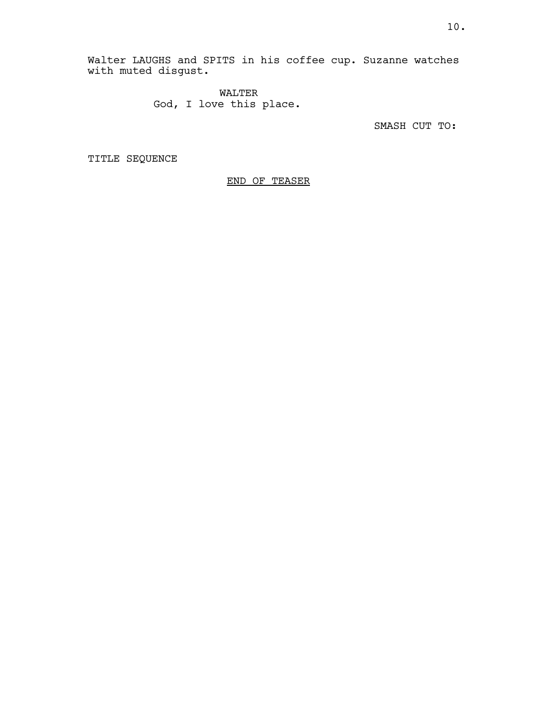Walter LAUGHS and SPITS in his coffee cup. Suzanne watches with muted disgust.

> WALTER God, I love this place.

> > SMASH CUT TO:

TITLE SEQUENCE

END OF TEASER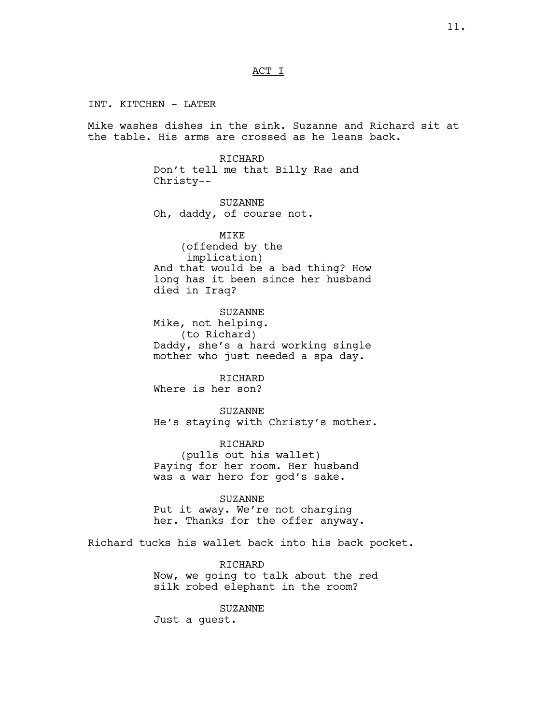# ACT I

INT. KITCHEN - LATER Mike washes dishes in the sink. Suzanne and Richard sit at the table. His arms are crossed as he leans back.

> RICHARD Don't tell me that Billy Rae and Christy--

SUZANNE Oh, daddy, of course not.

MIKE (offended by the implication) And that would be a bad thing? How long has it been since her husband died in Iraq?

SUZANNE Mike, not helping. (to Richard) Daddy, she's a hard working single mother who just needed a spa day.

RICHARD Where is her son?

SUZANNE He's staying with Christy's mother.

RICHARD (pulls out his wallet) Paying for her room. Her husband was a war hero for god's sake.

SUZANNE

Put it away. We're not charging her. Thanks for the offer anyway.

Richard tucks his wallet back into his back pocket.

RICHARD Now, we going to talk about the red silk robed elephant in the room?

SUZANNE Just a guest.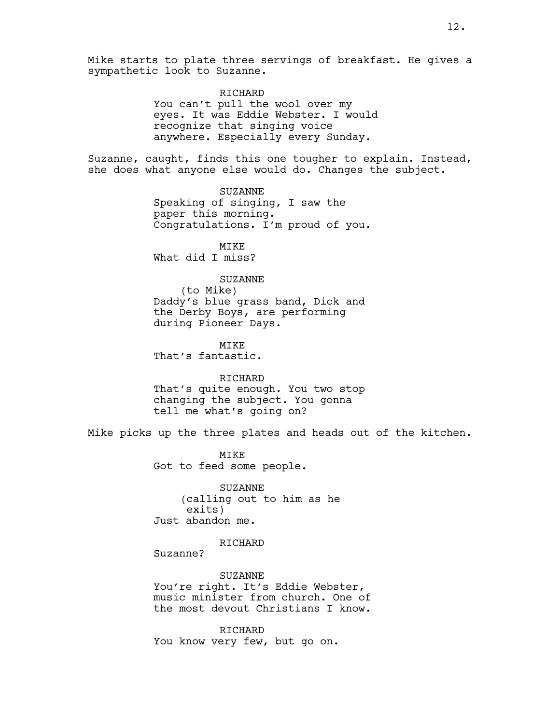Mike starts to plate three servings of breakfast. He gives a sympathetic look to Suzanne.

> RICHARD You can't pull the wool over my eyes. It was Eddie Webster. I would recognize that singing voice anywhere. Especially every Sunday.

Suzanne, caught, finds this one tougher to explain. Instead, she does what anyone else would do. Changes the subject.

> SUZANNE Speaking of singing, I saw the paper this morning. Congratulations. I'm proud of you.

MIKE What did I miss?

## SUZANNE

(to Mike) Daddy's blue grass band, Dick and the Derby Boys, are performing during Pioneer Days.

MTK<sub>E</sub> That's fantastic.

#### RICHARD

That's quite enough. You two stop changing the subject. You gonna tell me what's going on?

Mike picks up the three plates and heads out of the kitchen.

MTKE Got to feed some people.

SUZANNE (calling out to him as he exits) Just abandon me.

# RICHARD

Suzanne?

SUZANNE You're right. It's Eddie Webster, music minister from church. One of the most devout Christians I know.

RICHARD You know very few, but go on.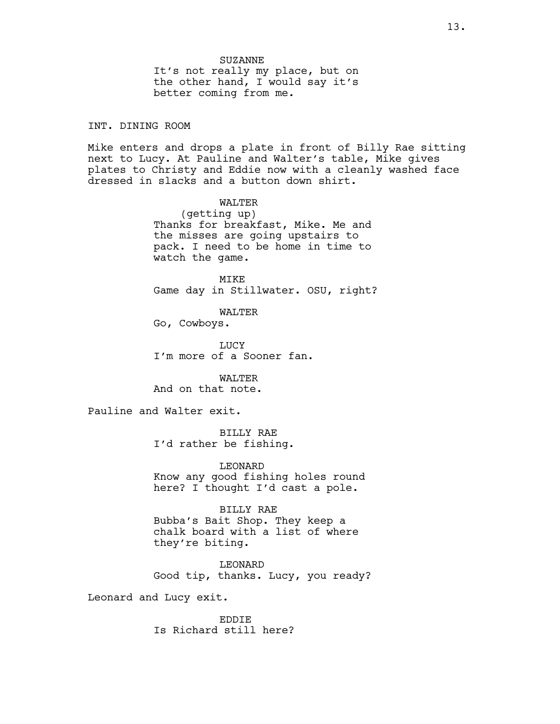INT. DINING ROOM

Mike enters and drops a plate in front of Billy Rae sitting next to Lucy. At Pauline and Walter's table, Mike gives plates to Christy and Eddie now with a cleanly washed face dressed in slacks and a button down shirt.

> WALTER (getting up) Thanks for breakfast, Mike. Me and the misses are going upstairs to pack. I need to be home in time to watch the game.

MIKE Game day in Stillwater. OSU, right?

WALTER

Go, Cowboys.

**LUCY** I'm more of a Sooner fan.

WALTER And on that note.

Pauline and Walter exit.

BILLY RAE I'd rather be fishing.

LEONARD Know any good fishing holes round here? I thought I'd cast a pole.

BILLY RAE Bubba's Bait Shop. They keep a chalk board with a list of where they're biting.

LEONARD Good tip, thanks. Lucy, you ready?

Leonard and Lucy exit.

EDDIE Is Richard still here?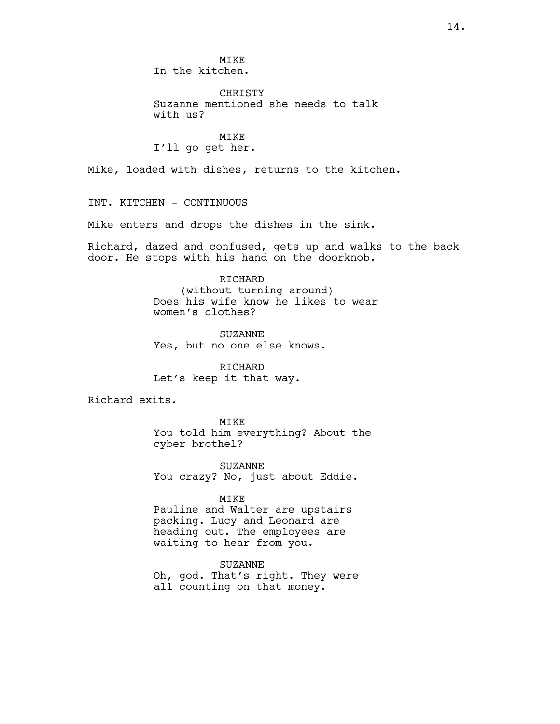MIKE In the kitchen.

CHRISTY Suzanne mentioned she needs to talk with us?

MIKE I'll go get her.

Mike, loaded with dishes, returns to the kitchen.

INT. KITCHEN - CONTINUOUS

Mike enters and drops the dishes in the sink.

Richard, dazed and confused, gets up and walks to the back door. He stops with his hand on the doorknob.

RICHARD

(without turning around) Does his wife know he likes to wear women's clothes?

SUZANNE Yes, but no one else knows.

RICHARD Let's keep it that way.

Richard exits.

MIKE You told him everything? About the cyber brothel?

SUZANNE You crazy? No, just about Eddie.

MIKE

Pauline and Walter are upstairs packing. Lucy and Leonard are heading out. The employees are waiting to hear from you.

SUZANNE Oh, god. That's right. They were all counting on that money.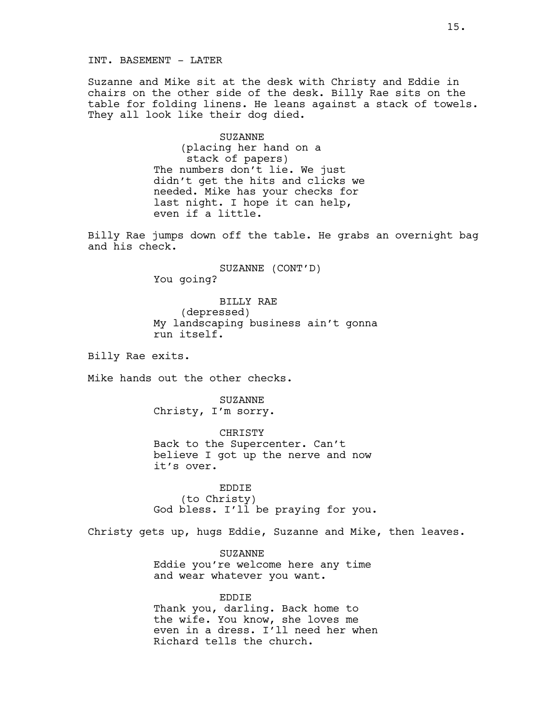INT. BASEMENT - LATER

Suzanne and Mike sit at the desk with Christy and Eddie in chairs on the other side of the desk. Billy Rae sits on the table for folding linens. He leans against a stack of towels. They all look like their dog died.

> SUZANNE (placing her hand on a stack of papers) The numbers don't lie. We just didn't get the hits and clicks we needed. Mike has your checks for last night. I hope it can help, even if a little.

Billy Rae jumps down off the table. He grabs an overnight bag and his check.

> SUZANNE (CONT'D) You going?

BILLY RAE (depressed) My landscaping business ain't gonna run itself.

Billy Rae exits.

Mike hands out the other checks.

SUZANNE Christy, I'm sorry.

CHRISTY Back to the Supercenter. Can't believe I got up the nerve and now it's over.

EDDIE (to Christy) God bless. I'll be praying for you.

Christy gets up, hugs Eddie, Suzanne and Mike, then leaves.

SUZANNE Eddie you're welcome here any time and wear whatever you want.

EDDIE Thank you, darling. Back home to the wife. You know, she loves me even in a dress. I'll need her when Richard tells the church.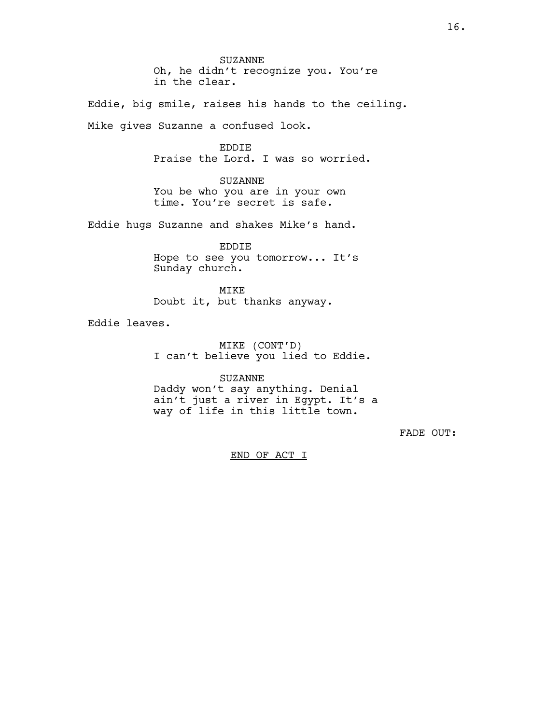SUZANNE Oh, he didn't recognize you. You're in the clear.

Eddie, big smile, raises his hands to the ceiling. Mike gives Suzanne a confused look.

> EDDIE Praise the Lord. I was so worried.

SUZANNE You be who you are in your own time. You're secret is safe.

Eddie hugs Suzanne and shakes Mike's hand.

EDDIE Hope to see you tomorrow... It's Sunday church.

MIKE Doubt it, but thanks anyway.

Eddie leaves.

MIKE (CONT'D) I can't believe you lied to Eddie.

SUZANNE Daddy won't say anything. Denial ain't just a river in Egypt. It's a way of life in this little town.

FADE OUT:

END OF ACT I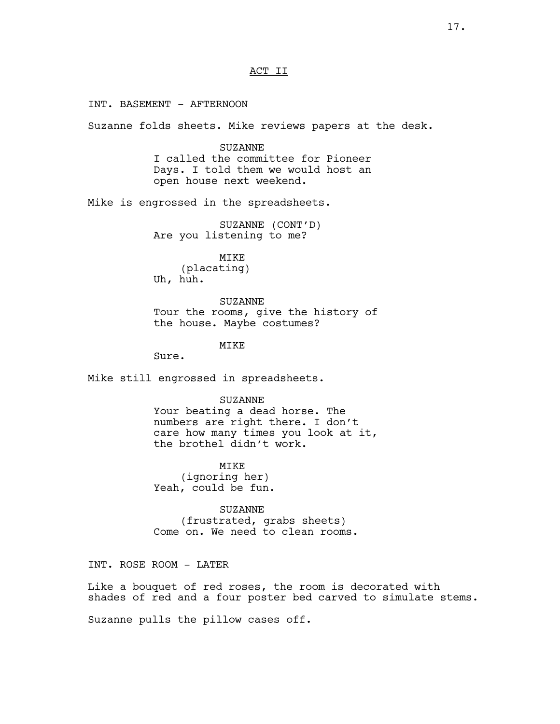# ACT II

INT. BASEMENT - AFTERNOON

Suzanne folds sheets. Mike reviews papers at the desk.

SUZANNE I called the committee for Pioneer Days. I told them we would host an open house next weekend.

Mike is engrossed in the spreadsheets.

SUZANNE (CONT'D) Are you listening to me?

MIKE (placating) Uh, huh.

SUZANNE Tour the rooms, give the history of the house. Maybe costumes?

MIKE

Sure.

Mike still engrossed in spreadsheets.

SUZANNE Your beating a dead horse. The numbers are right there. I don't care how many times you look at it, the brothel didn't work.

MIKE (ignoring her) Yeah, could be fun.

SUZANNE (frustrated, grabs sheets) Come on. We need to clean rooms.

INT. ROSE ROOM - LATER

Like a bouquet of red roses, the room is decorated with shades of red and a four poster bed carved to simulate stems.

Suzanne pulls the pillow cases off.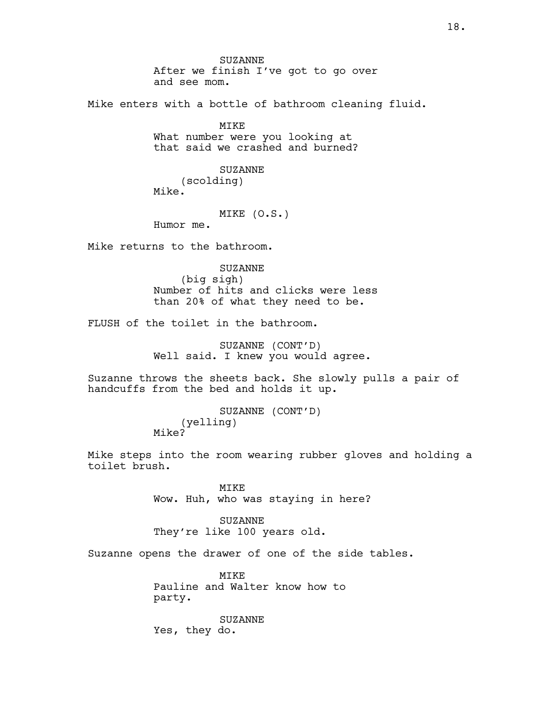SUZANNE After we finish I've got to go over and see mom.

Mike enters with a bottle of bathroom cleaning fluid.

MIKE What number were you looking at that said we crashed and burned?

> SUZANNE (scolding)

Mike.

### MIKE (O.S.)

Humor me.

Mike returns to the bathroom.

SUZANNE

(big sigh) Number of hits and clicks were less than 20% of what they need to be.

FLUSH of the toilet in the bathroom.

SUZANNE (CONT'D) Well said. I knew you would agree.

Suzanne throws the sheets back. She slowly pulls a pair of handcuffs from the bed and holds it up.

> SUZANNE (CONT'D) (yelling) Mike?

Mike steps into the room wearing rubber gloves and holding a toilet brush.

> MIKE Wow. Huh, who was staying in here?

SUZANNE They're like 100 years old.

Suzanne opens the drawer of one of the side tables.

**MTKE** Pauline and Walter know how to party.

SUZANNE Yes, they do.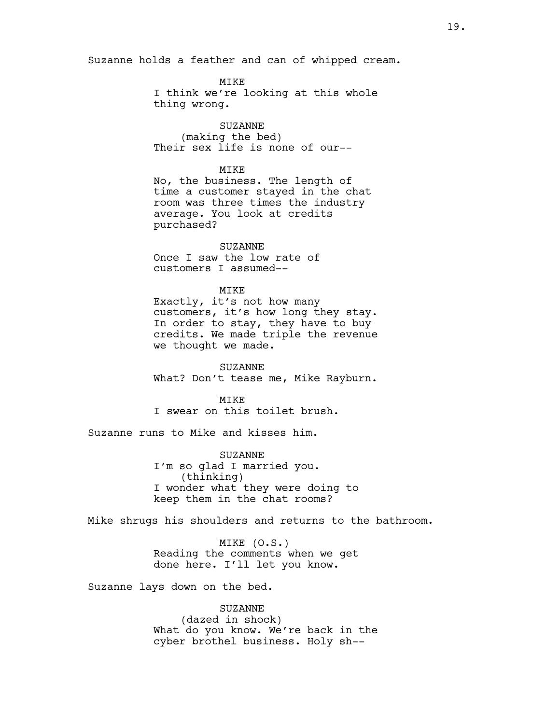Suzanne holds a feather and can of whipped cream.

MIKE I think we're looking at this whole thing wrong.

SUZANNE (making the bed) Their sex life is none of our--

# **MTKE**

No, the business. The length of time a customer stayed in the chat room was three times the industry average. You look at credits purchased?

SUZANNE Once I saw the low rate of customers I assumed--

### MIKE

Exactly, it's not how many customers, it's how long they stay. In order to stay, they have to buy credits. We made triple the revenue we thought we made.

SUZANNE What? Don't tease me, Mike Rayburn.

MTK<sub>E</sub> I swear on this toilet brush.

Suzanne runs to Mike and kisses him.

SUZANNE I'm so glad I married you. (thinking) I wonder what they were doing to keep them in the chat rooms?

Mike shrugs his shoulders and returns to the bathroom.

MIKE (O.S.) Reading the comments when we get done here. I'll let you know.

Suzanne lays down on the bed.

# SUZANNE

(dazed in shock) What do you know. We're back in the cyber brothel business. Holy sh--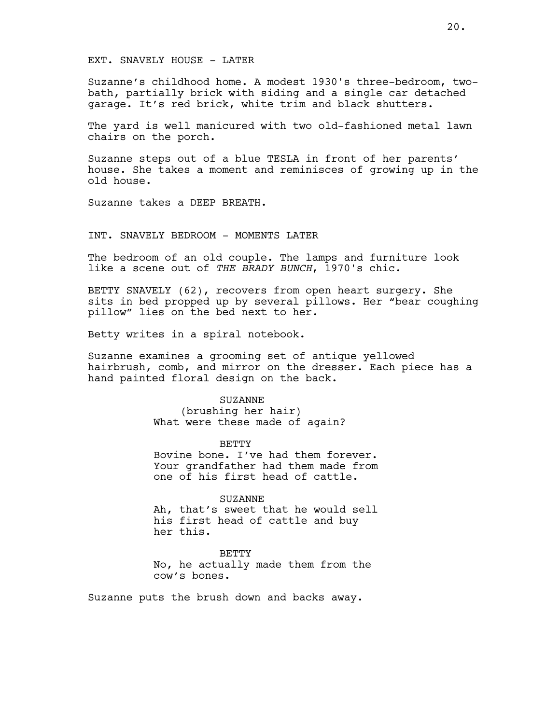### EXT. SNAVELY HOUSE - LATER

Suzanne's childhood home. A modest 1930's three-bedroom, twobath, partially brick with siding and a single car detached garage. It's red brick, white trim and black shutters.

The yard is well manicured with two old-fashioned metal lawn chairs on the porch.

Suzanne steps out of a blue TESLA in front of her parents' house. She takes a moment and reminisces of growing up in the old house.

Suzanne takes a DEEP BREATH.

#### INT. SNAVELY BEDROOM - MOMENTS LATER

The bedroom of an old couple. The lamps and furniture look like a scene out of *THE BRADY BUNCH*, 1970's chic.

BETTY SNAVELY (62), recovers from open heart surgery. She sits in bed propped up by several pillows. Her "bear coughing pillow" lies on the bed next to her.

Betty writes in a spiral notebook.

Suzanne examines a grooming set of antique yellowed hairbrush, comb, and mirror on the dresser. Each piece has a hand painted floral design on the back.

> SUZANNE (brushing her hair) What were these made of again?

BETTY Bovine bone. I've had them forever. Your grandfather had them made from one of his first head of cattle.

SUZANNE Ah, that's sweet that he would sell his first head of cattle and buy her this.

**BETTY** No, he actually made them from the cow's bones.

Suzanne puts the brush down and backs away.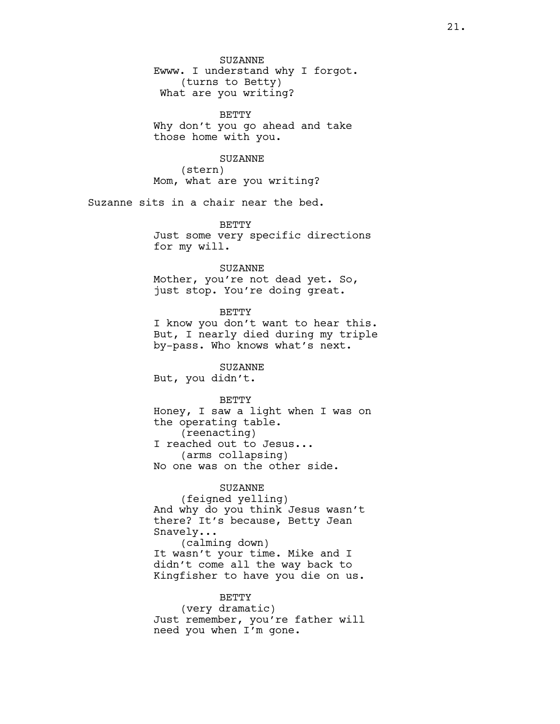SUZANNE Ewww. I understand why I forgot. (turns to Betty) What are you writing?

BETTY Why don't you go ahead and take those home with you.

SUZANNE (stern) Mom, what are you writing?

Suzanne sits in a chair near the bed.

**BETTY** Just some very specific directions for my will.

### SUZANNE

Mother, you're not dead yet. So, just stop. You're doing great.

**BETTY** I know you don't want to hear this. But, I nearly died during my triple by-pass. Who knows what's next.

SUZANNE But, you didn't.

# BETTY

Honey, I saw a light when I was on the operating table. (reenacting) I reached out to Jesus... (arms collapsing) No one was on the other side.

# SUZANNE

(feigned yelling) And why do you think Jesus wasn't there? It's because, Betty Jean Snavely... (calming down) It wasn't your time. Mike and I didn't come all the way back to Kingfisher to have you die on us.

BETTY (very dramatic) Just remember, you're father will need you when I'm gone.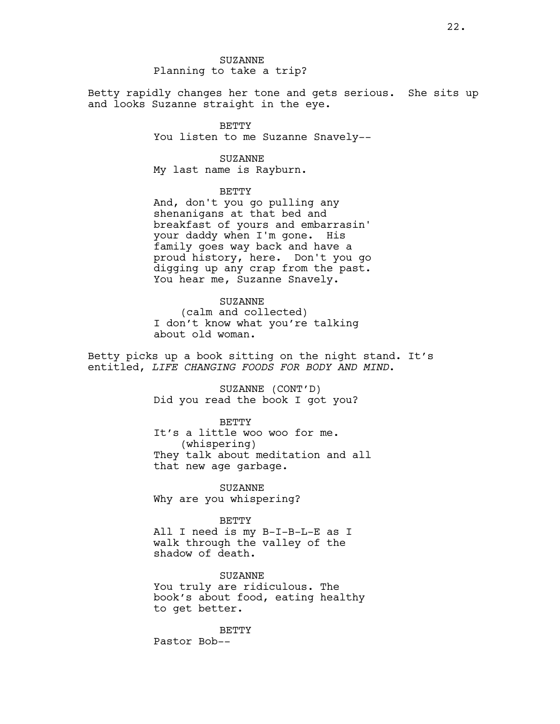Betty rapidly changes her tone and gets serious. She sits up and looks Suzanne straight in the eye.

> BETTY You listen to me Suzanne Snavely--

#### SUZANNE

My last name is Rayburn.

# BETTY

And, don't you go pulling any shenanigans at that bed and breakfast of yours and embarrasin' your daddy when I'm gone. His family goes way back and have a proud history, here. Don't you go digging up any crap from the past. You hear me, Suzanne Snavely.

### SUZANNE

(calm and collected) I don't know what you're talking about old woman.

Betty picks up a book sitting on the night stand. It's entitled, *LIFE CHANGING FOODS FOR BODY AND MIND*.

> SUZANNE (CONT'D) Did you read the book I got you?

### BETTY

It's a little woo woo for me. (whispering) They talk about meditation and all that new age garbage.

SUZANNE Why are you whispering?

## BETTY

All I need is my B-I-B-L-E as I walk through the valley of the shadow of death.

# SUZANNE

You truly are ridiculous. The book's about food, eating healthy to get better.

BETTY

Pastor Bob--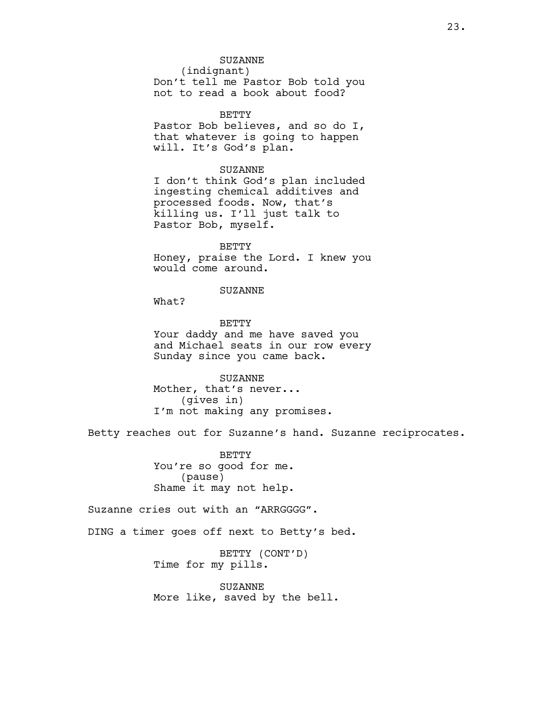#### SUZANNE

(indignant) Don't tell me Pastor Bob told you not to read a book about food?

BETTY Pastor Bob believes, and so do I, that whatever is going to happen will. It's God's plan.

#### SUZANNE

I don't think God's plan included ingesting chemical additives and processed foods. Now, that's killing us. I'll just talk to Pastor Bob, myself.

BETTY Honey, praise the Lord. I knew you would come around.

# SUZANNE

What?

BETTY Your daddy and me have saved you and Michael seats in our row every Sunday since you came back.

SUZANNE Mother, that's never... (gives in) I'm not making any promises.

Betty reaches out for Suzanne's hand. Suzanne reciprocates.

BETTY You're so good for me. (pause) Shame it may not help.

Suzanne cries out with an "ARRGGGG".

DING a timer goes off next to Betty's bed.

BETTY (CONT'D) Time for my pills.

SUZANNE More like, saved by the bell.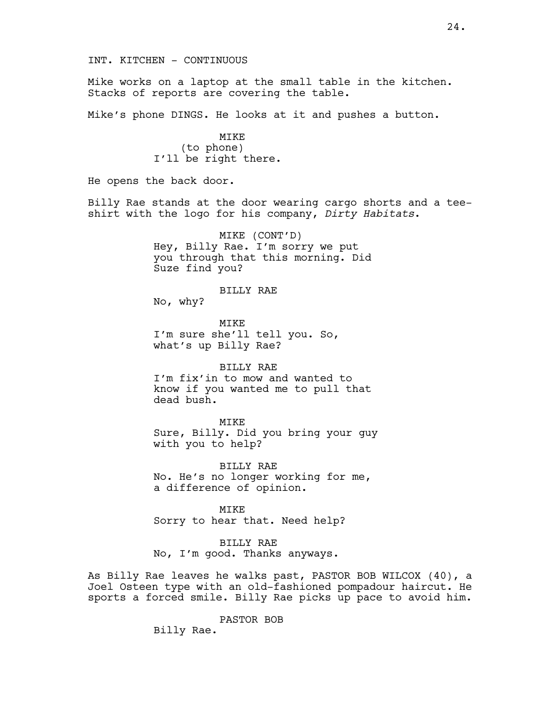Mike works on a laptop at the small table in the kitchen. Stacks of reports are covering the table.

Mike's phone DINGS. He looks at it and pushes a button.

MIKE (to phone) I'll be right there.

He opens the back door.

Billy Rae stands at the door wearing cargo shorts and a teeshirt with the logo for his company, *Dirty Habitats*.

> MIKE (CONT'D) Hey, Billy Rae. I'm sorry we put you through that this morning. Did Suze find you?

#### BILLY RAE

No, why?

MIKE I'm sure she'll tell you. So, what's up Billy Rae?

# BILLY RAE

I'm fix'in to mow and wanted to know if you wanted me to pull that dead bush.

MIKE Sure, Billy. Did you bring your guy with you to help?

BILLY RAE No. He's no longer working for me, a difference of opinion.

MIKE Sorry to hear that. Need help?

# BILLY RAE

No, I'm good. Thanks anyways.

As Billy Rae leaves he walks past, PASTOR BOB WILCOX (40), a Joel Osteen type with an old-fashioned pompadour haircut. He sports a forced smile. Billy Rae picks up pace to avoid him.

PASTOR BOB

Billy Rae.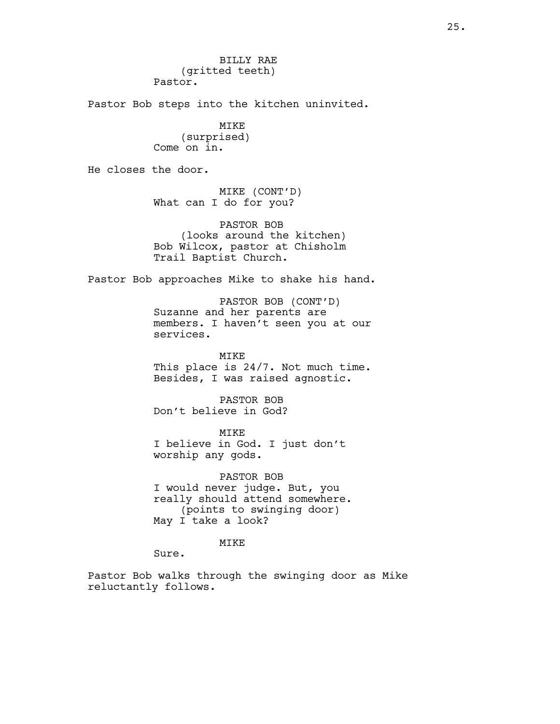BILLY RAE (gritted teeth) Pastor.

Pastor Bob steps into the kitchen uninvited.

MIKE (surprised) Come on in.

He closes the door.

MIKE (CONT'D) What can I do for you?

PASTOR BOB (looks around the kitchen) Bob Wilcox, pastor at Chisholm Trail Baptist Church.

Pastor Bob approaches Mike to shake his hand.

PASTOR BOB (CONT'D) Suzanne and her parents are members. I haven't seen you at our services.

MIKE This place is 24/7. Not much time. Besides, I was raised agnostic.

PASTOR BOB Don't believe in God?

MIKE I believe in God. I just don't worship any gods.

PASTOR BOB I would never judge. But, you really should attend somewhere. (points to swinging door) May I take a look?

MIKE

Sure.

Pastor Bob walks through the swinging door as Mike reluctantly follows.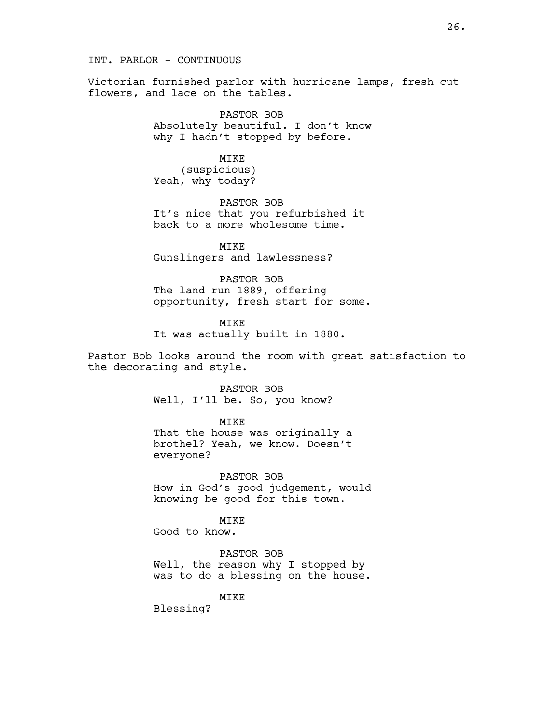INT. PARLOR - CONTINUOUS

Victorian furnished parlor with hurricane lamps, fresh cut flowers, and lace on the tables.

> PASTOR BOB Absolutely beautiful. I don't know why I hadn't stopped by before.

MIKE (suspicious) Yeah, why today?

PASTOR BOB It's nice that you refurbished it back to a more wholesome time.

MIKE Gunslingers and lawlessness?

PASTOR BOB The land run 1889, offering opportunity, fresh start for some.

MIKE It was actually built in 1880.

Pastor Bob looks around the room with great satisfaction to the decorating and style.

> PASTOR BOB Well, I'll be. So, you know?

> > MIKE

That the house was originally a brothel? Yeah, we know. Doesn't everyone?

PASTOR BOB How in God's good judgement, would knowing be good for this town.

MIKE Good to know.

PASTOR BOB Well, the reason why I stopped by was to do a blessing on the house.

MIKE

Blessing?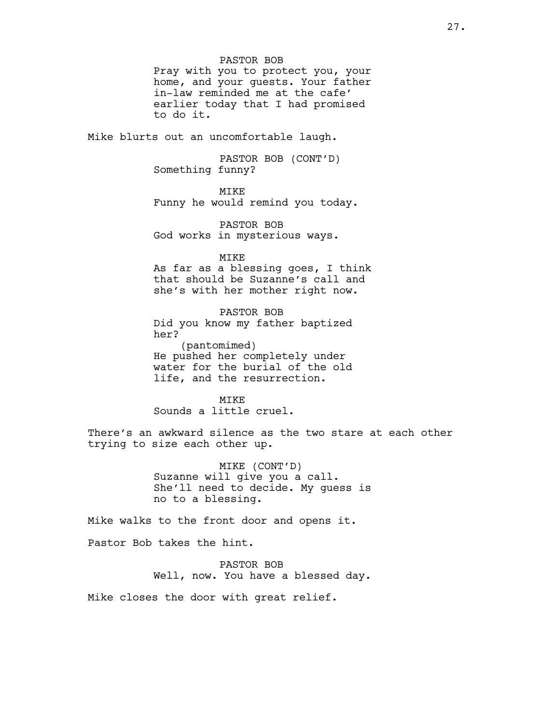Pray with you to protect you, your home, and your guests. Your father in-law reminded me at the cafe' earlier today that I had promised to do it.

Mike blurts out an uncomfortable laugh.

PASTOR BOB (CONT'D) Something funny?

MIKE

Funny he would remind you today.

PASTOR BOB God works in mysterious ways.

MIKE As far as a blessing goes, I think that should be Suzanne's call and she's with her mother right now.

PASTOR BOB Did you know my father baptized her? (pantomimed) He pushed her completely under water for the burial of the old life, and the resurrection.

**MTKE** Sounds a little cruel.

There's an awkward silence as the two stare at each other trying to size each other up.

> MIKE (CONT'D) Suzanne will give you a call. She'll need to decide. My guess is no to a blessing.

Mike walks to the front door and opens it.

Pastor Bob takes the hint.

PASTOR BOB Well, now. You have a blessed day.

Mike closes the door with great relief.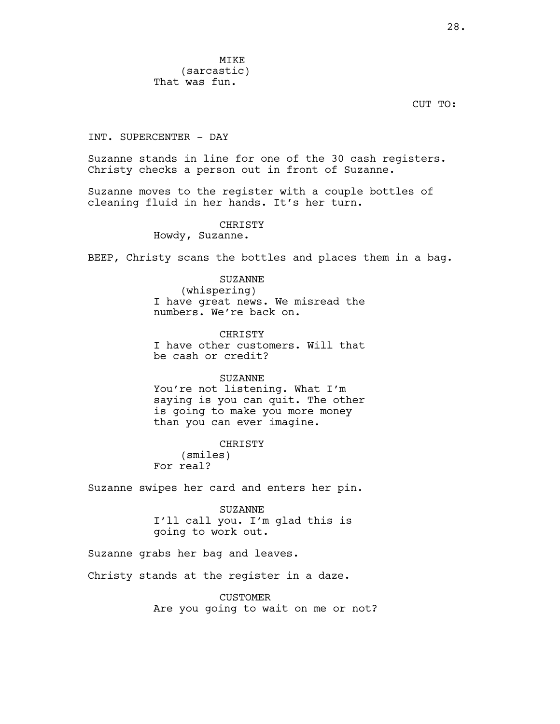MIKE (sarcastic) That was fun.

CUT TO:

INT. SUPERCENTER - DAY

Suzanne stands in line for one of the 30 cash registers. Christy checks a person out in front of Suzanne.

Suzanne moves to the register with a couple bottles of cleaning fluid in her hands. It's her turn.

> CHRISTY Howdy, Suzanne.

BEEP, Christy scans the bottles and places them in a bag.

SUZANNE

(whispering) I have great news. We misread the numbers. We're back on.

CHRISTY I have other customers. Will that be cash or credit?

SUZANNE You're not listening. What I'm saying is you can quit. The other is going to make you more money than you can ever imagine.

CHRISTY (smiles) For real?

Suzanne swipes her card and enters her pin.

SUZANNE I'll call you. I'm glad this is going to work out.

Suzanne grabs her bag and leaves.

Christy stands at the register in a daze.

CUSTOMER Are you going to wait on me or not?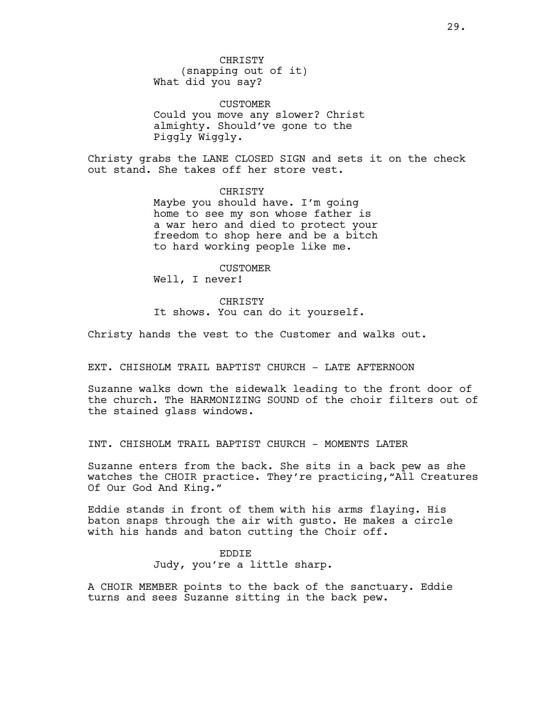**CHRISTY** (snapping out of it) What did you say?

CUSTOMER Could you move any slower? Christ almighty. Should've gone to the Piggly Wiggly.

Christy grabs the LANE CLOSED SIGN and sets it on the check out stand. She takes off her store vest.

> CHRISTY Maybe you should have. I'm going home to see my son whose father is a war hero and died to protect your freedom to shop here and be a bitch to hard working people like me.

Well, I never! CHRISTY It shows. You can do it yourself.

CUSTOMER

Christy hands the vest to the Customer and walks out.

EXT. CHISHOLM TRAIL BAPTIST CHURCH - LATE AFTERNOON

Suzanne walks down the sidewalk leading to the front door of the church. The HARMONIZING SOUND of the choir filters out of the stained glass windows.

INT. CHISHOLM TRAIL BAPTIST CHURCH - MOMENTS LATER

Suzanne enters from the back. She sits in a back pew as she watches the CHOIR practice. They're practicing,"All Creatures Of Our God And King."

Eddie stands in front of them with his arms flaying. His baton snaps through the air with gusto. He makes a circle with his hands and baton cutting the Choir off.

> EDDIE Judy, you're a little sharp.

A CHOIR MEMBER points to the back of the sanctuary. Eddie turns and sees Suzanne sitting in the back pew.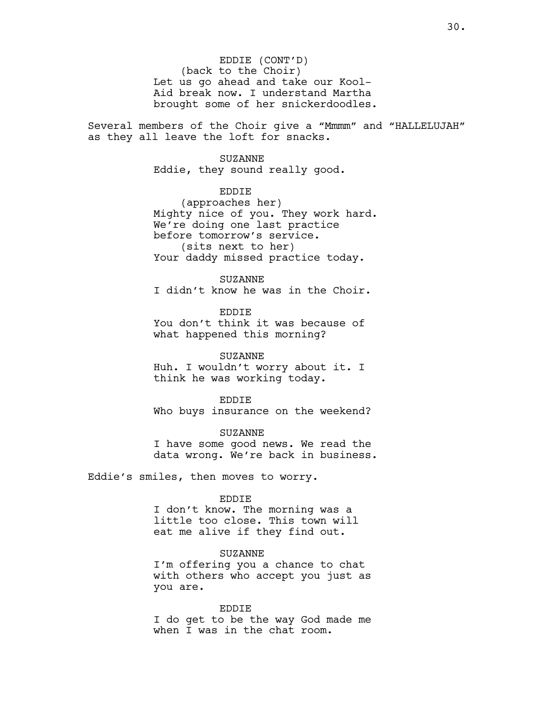EDDIE (CONT'D) (back to the Choir) Let us go ahead and take our Kool-Aid break now. I understand Martha brought some of her snickerdoodles.

Several members of the Choir give a "Mmmm" and "HALLELUJAH" as they all leave the loft for snacks.

#### SUZANNE

Eddie, they sound really good.

# EDDIE

(approaches her) Mighty nice of you. They work hard. We're doing one last practice before tomorrow's service. (sits next to her) Your daddy missed practice today.

### SUZANNE

I didn't know he was in the Choir.

## EDDIE

You don't think it was because of what happened this morning?

### SUZANNE

Huh. I wouldn't worry about it. I think he was working today.

#### EDDIE

Who buys insurance on the weekend?

### SUZANNE

I have some good news. We read the data wrong. We're back in business.

Eddie's smiles, then moves to worry.

### EDDIE

I don't know. The morning was a little too close. This town will eat me alive if they find out.

#### SUZANNE

I'm offering you a chance to chat with others who accept you just as you are.

# EDDIE

I do get to be the way God made me when I was in the chat room.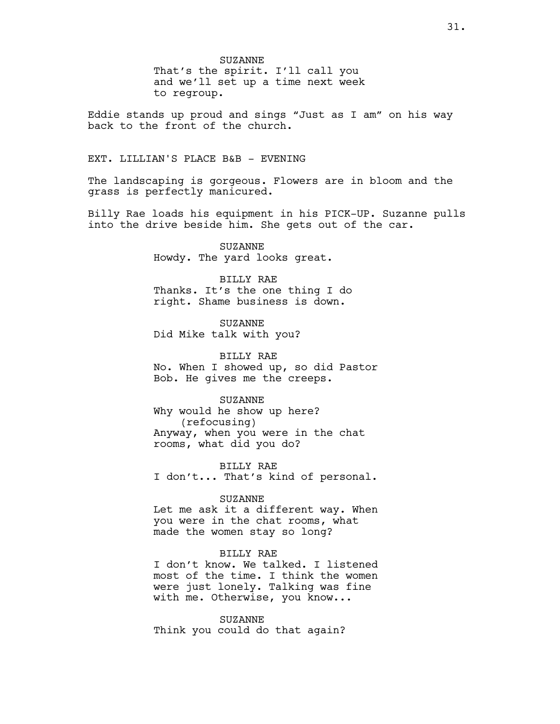SUZANNE That's the spirit. I'll call you and we'll set up a time next week to regroup.

Eddie stands up proud and sings "Just as I am" on his way back to the front of the church.

# EXT. LILLIAN'S PLACE B&B - EVENING

The landscaping is gorgeous. Flowers are in bloom and the grass is perfectly manicured.

Billy Rae loads his equipment in his PICK-UP. Suzanne pulls into the drive beside him. She gets out of the car.

> SUZANNE Howdy. The yard looks great.

BILLY RAE Thanks. It's the one thing I do right. Shame business is down.

SUZANNE Did Mike talk with you?

BILLY RAE No. When I showed up, so did Pastor Bob. He gives me the creeps.

SUZANNE

Why would he show up here? (refocusing) Anyway, when you were in the chat rooms, what did you do?

BILLY RAE I don't... That's kind of personal.

#### SUZANNE

Let me ask it a different way. When you were in the chat rooms, what made the women stay so long?

# BILLY RAE

I don't know. We talked. I listened most of the time. I think the women were just lonely. Talking was fine with me. Otherwise, you know...

SUZANNE Think you could do that again?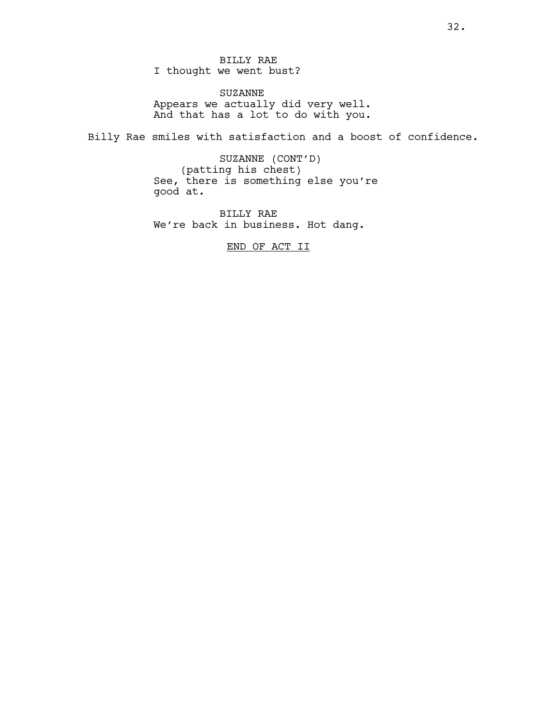BILLY RAE I thought we went bust?

SUZANNE Appears we actually did very well. And that has a lot to do with you.

Billy Rae smiles with satisfaction and a boost of confidence.

SUZANNE (CONT'D) (patting his chest) See, there is something else you're good at.

BILLY RAE We're back in business. Hot dang.

END OF ACT II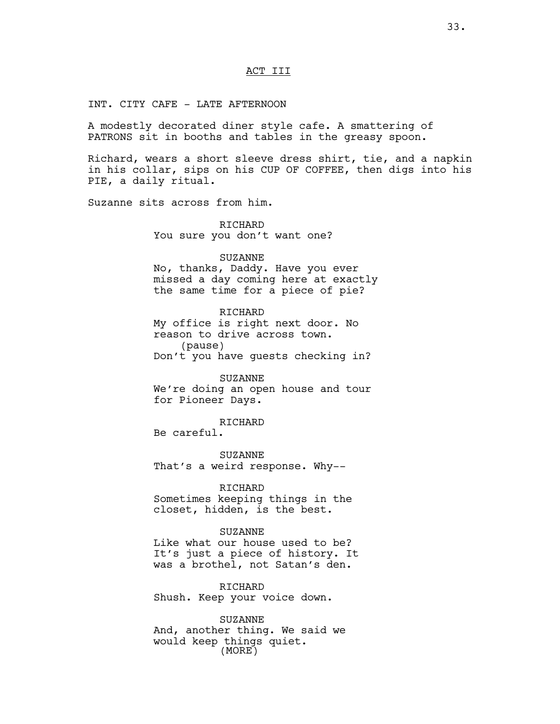# ACT III

INT. CITY CAFE - LATE AFTERNOON

A modestly decorated diner style cafe. A smattering of PATRONS sit in booths and tables in the greasy spoon.

Richard, wears a short sleeve dress shirt, tie, and a napkin in his collar, sips on his CUP OF COFFEE, then digs into his PIE, a daily ritual.

Suzanne sits across from him.

RICHARD You sure you don't want one?

# SUZANNE

No, thanks, Daddy. Have you ever missed a day coming here at exactly the same time for a piece of pie?

RICHARD My office is right next door. No reason to drive across town. (pause) Don't you have guests checking in?

SUZANNE

We're doing an open house and tour for Pioneer Days.

RICHARD

Be careful.

SUZANNE That's a weird response. Why--

RICHARD Sometimes keeping things in the closet, hidden, is the best.

SUZANNE

Like what our house used to be? It's just a piece of history. It was a brothel, not Satan's den.

RICHARD Shush. Keep your voice down.

SUZANNE And, another thing. We said we would keep things quiet. (MORE)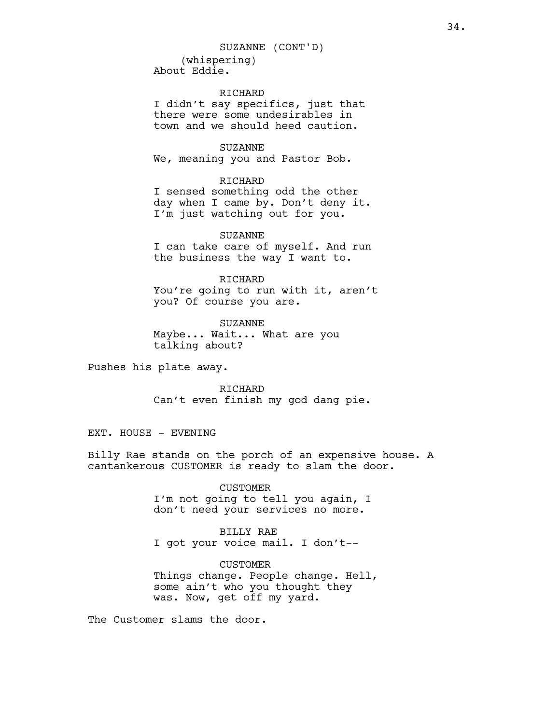(whispering) About Eddie. SUZANNE (CONT'D)

RICHARD I didn't say specifics, just that there were some undesirables in town and we should heed caution.

SUZANNE We, meaning you and Pastor Bob.

#### RICHARD

I sensed something odd the other day when I came by. Don't deny it. I'm just watching out for you.

SUZANNE I can take care of myself. And run the business the way I want to.

RICHARD You're going to run with it, aren't you? Of course you are.

SUZANNE Maybe... Wait... What are you talking about?

Pushes his plate away.

RICHARD Can't even finish my god dang pie.

EXT. HOUSE - EVENING

Billy Rae stands on the porch of an expensive house. A cantankerous CUSTOMER is ready to slam the door.

> CUSTOMER I'm not going to tell you again, I don't need your services no more.

BILLY RAE I got your voice mail. I don't--

CUSTOMER Things change. People change. Hell, some ain't who you thought they was. Now, get off my yard.

The Customer slams the door.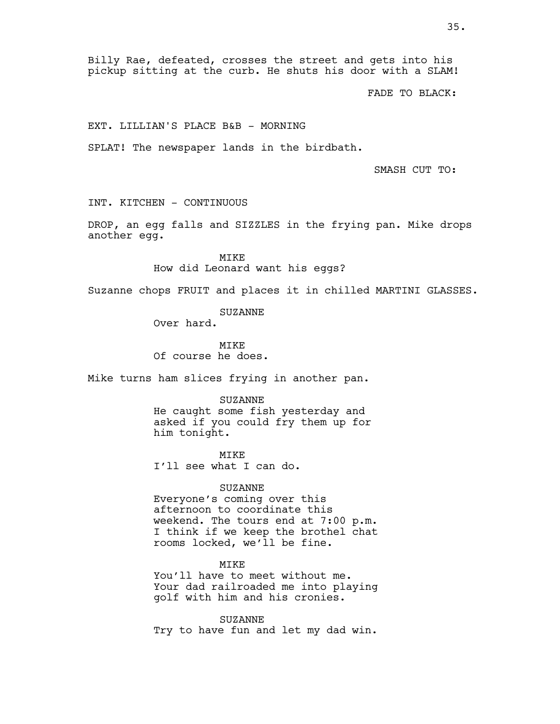Billy Rae, defeated, crosses the street and gets into his pickup sitting at the curb. He shuts his door with a SLAM!

FADE TO BLACK:

EXT. LILLIAN'S PLACE B&B - MORNING

SPLAT! The newspaper lands in the birdbath.

SMASH CUT TO:

INT. KITCHEN - CONTINUOUS

DROP, an egg falls and SIZZLES in the frying pan. Mike drops another egg.

> MIKE How did Leonard want his eggs?

Suzanne chops FRUIT and places it in chilled MARTINI GLASSES.

# SUZANNE

Over hard.

MTK<sub>E</sub> Of course he does.

Mike turns ham slices frying in another pan.

SUZANNE

He caught some fish yesterday and asked if you could fry them up for him tonight.

MTKE I'll see what I can do.

SUZANNE

Everyone's coming over this afternoon to coordinate this weekend. The tours end at 7:00 p.m. I think if we keep the brothel chat rooms locked, we'll be fine.

MIKE

You'll have to meet without me. Your dad railroaded me into playing golf with him and his cronies.

SUZANNE Try to have fun and let my dad win.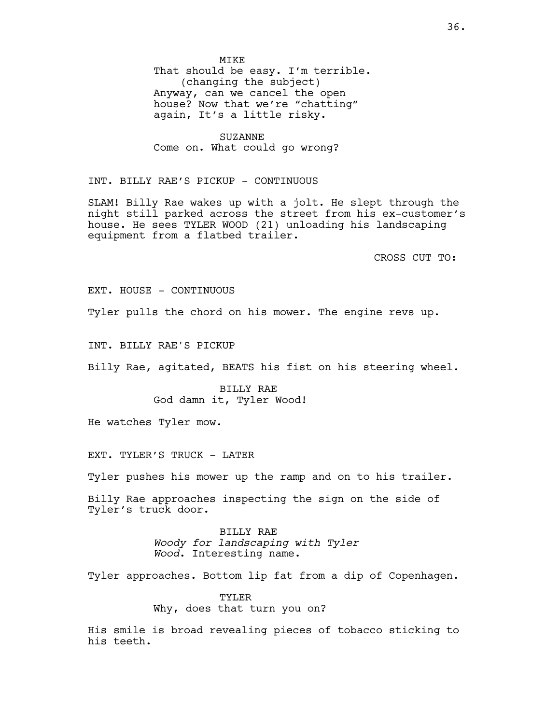MIKE That should be easy. I'm terrible. (changing the subject) Anyway, can we cancel the open house? Now that we're "chatting" again, It's a little risky.

SUZANNE Come on. What could go wrong?

INT. BILLY RAE'S PICKUP - CONTINUOUS

SLAM! Billy Rae wakes up with a jolt. He slept through the night still parked across the street from his ex-customer's house. He sees TYLER WOOD (21) unloading his landscaping equipment from a flatbed trailer.

CROSS CUT TO:

EXT. HOUSE - CONTINUOUS

Tyler pulls the chord on his mower. The engine revs up.

INT. BILLY RAE'S PICKUP

Billy Rae, agitated, BEATS his fist on his steering wheel.

BILLY RAE God damn it, Tyler Wood!

He watches Tyler mow.

EXT. TYLER'S TRUCK - LATER

Tyler pushes his mower up the ramp and on to his trailer.

Billy Rae approaches inspecting the sign on the side of Tyler's truck door.

> BILLY RAE *Woody for landscaping with Tyler Wood*. Interesting name.

Tyler approaches. Bottom lip fat from a dip of Copenhagen.

TYLER Why, does that turn you on?

His smile is broad revealing pieces of tobacco sticking to his teeth.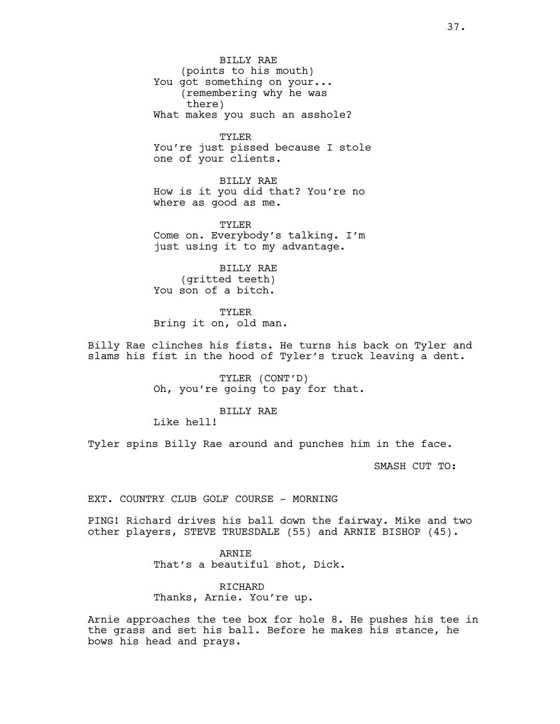BILLY RAE (points to his mouth) You got something on your... (remembering why he was there) What makes you such an asshole?

TYLER You're just pissed because I stole one of your clients.

BILLY RAE How is it you did that? You're no where as good as me.

TYLER Come on. Everybody's talking. I'm just using it to my advantage.

BILLY RAE (gritted teeth) You son of a bitch.

TYLER Bring it on, old man.

Billy Rae clinches his fists. He turns his back on Tyler and slams his fist in the hood of Tyler's truck leaving a dent.

> TYLER (CONT'D) Oh, you're going to pay for that.

> > BILLY RAE

Like hell!

Tyler spins Billy Rae around and punches him in the face.

SMASH CUT TO:

EXT. COUNTRY CLUB GOLF COURSE - MORNING

PING! Richard drives his ball down the fairway. Mike and two other players, STEVE TRUESDALE (55) and ARNIE BISHOP (45).

> ARNIE That's a beautiful shot, Dick.

RICHARD Thanks, Arnie. You're up.

Arnie approaches the tee box for hole 8. He pushes his tee in the grass and set his ball. Before he makes his stance, he bows his head and prays.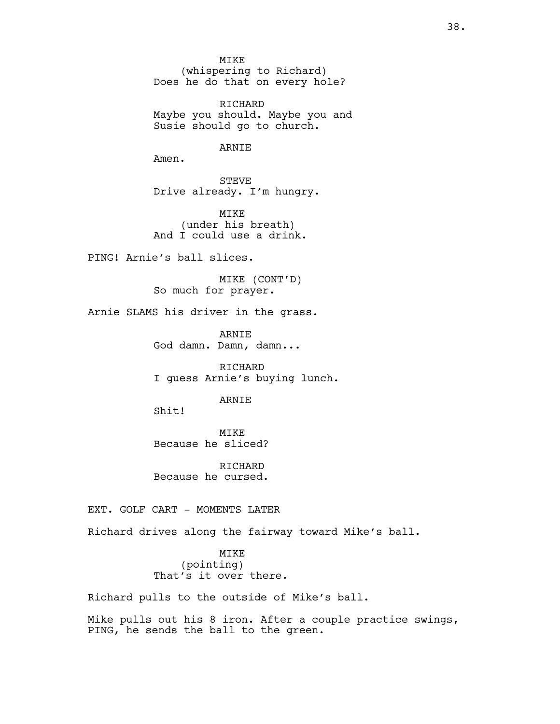MIKE (whispering to Richard) Does he do that on every hole?

RICHARD Maybe you should. Maybe you and Susie should go to church.

### ARNIE

Amen.

STEVE Drive already. I'm hungry.

MIKE (under his breath) And I could use a drink.

PING! Arnie's ball slices.

MIKE (CONT'D) So much for prayer.

Arnie SLAMS his driver in the grass.

ARNIE God damn. Damn, damn...

RICHARD I guess Arnie's buying lunch.

# ARNIE

Shit!

MIKE Because he sliced?

RICHARD Because he cursed.

EXT. GOLF CART - MOMENTS LATER

Richard drives along the fairway toward Mike's ball.

MIKE (pointing) That's it over there.

Richard pulls to the outside of Mike's ball.

Mike pulls out his 8 iron. After a couple practice swings, PING, he sends the ball to the green.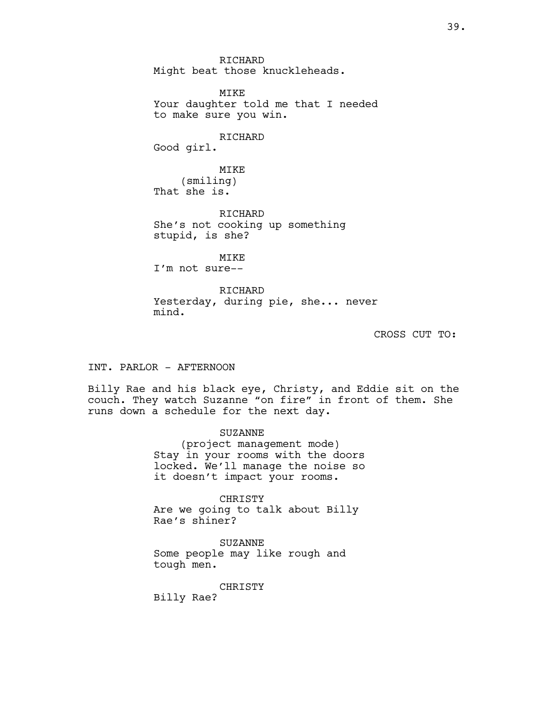RICHARD Might beat those knuckleheads. MIKE Your daughter told me that I needed to make sure you win. RICHARD Good girl. MIKE (smiling) That she is. RICHARD She's not cooking up something stupid, is she? MIKE I'm not sure-- RICHARD Yesterday, during pie, she... never

CROSS CUT TO:

INT. PARLOR - AFTERNOON

mind.

Billy Rae and his black eye, Christy, and Eddie sit on the couch. They watch Suzanne "on fire" in front of them. She runs down a schedule for the next day.

> SUZANNE (project management mode) Stay in your rooms with the doors locked. We'll manage the noise so it doesn't impact your rooms.

CHRISTY Are we going to talk about Billy Rae's shiner?

SUZANNE Some people may like rough and tough men.

CHRISTY Billy Rae?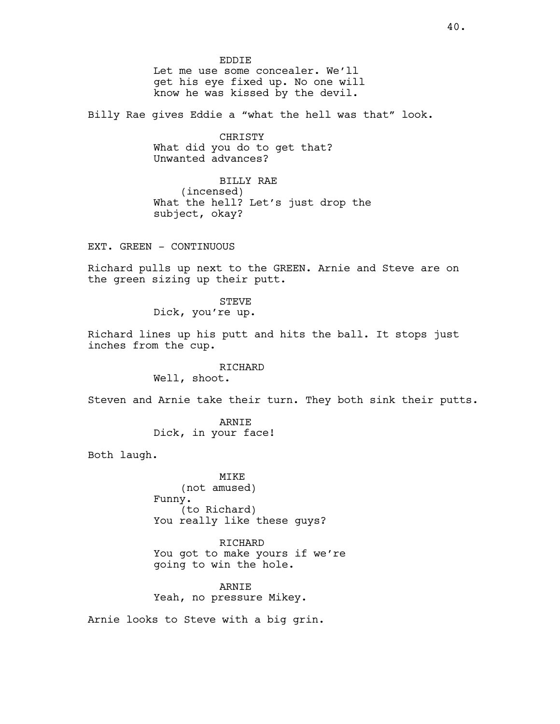EDDIE Let me use some concealer. We'll get his eye fixed up. No one will know he was kissed by the devil.

Billy Rae gives Eddie a "what the hell was that" look.

CHRISTY What did you do to get that? Unwanted advances?

BILLY RAE (incensed) What the hell? Let's just drop the subject, okay?

EXT. GREEN - CONTINUOUS

Richard pulls up next to the GREEN. Arnie and Steve are on the green sizing up their putt.

> STEVE Dick, you're up.

Richard lines up his putt and hits the ball. It stops just inches from the cup.

# RICHARD

Well, shoot.

Steven and Arnie take their turn. They both sink their putts.

ARNIE Dick, in your face!

Both laugh.

MIKE (not amused) Funny. (to Richard) You really like these guys?

RICHARD You got to make yours if we're going to win the hole.

ARNIE Yeah, no pressure Mikey.

Arnie looks to Steve with a big grin.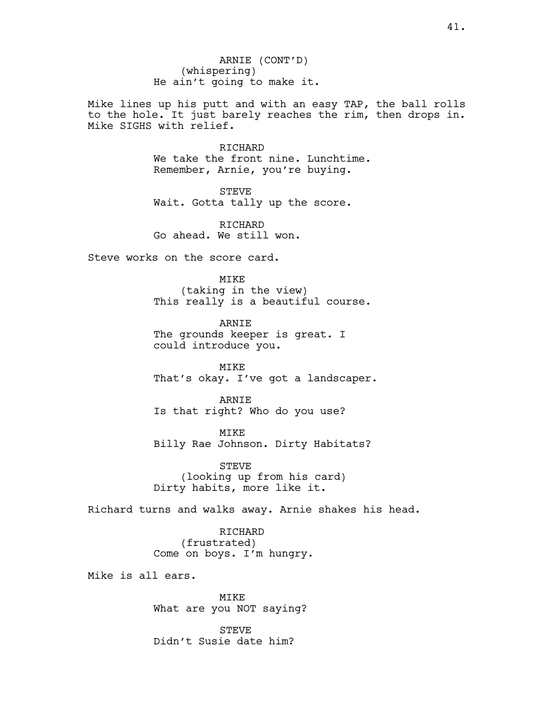ARNIE (CONT'D) (whispering) He ain't going to make it.

Mike lines up his putt and with an easy TAP, the ball rolls to the hole. It just barely reaches the rim, then drops in. Mike SIGHS with relief.

> RICHARD We take the front nine. Lunchtime. Remember, Arnie, you're buying.

STEVE Wait. Gotta tally up the score.

RICHARD Go ahead. We still won.

Steve works on the score card.

MIKE (taking in the view) This really is a beautiful course.

ARNIE The grounds keeper is great. I could introduce you.

MIKE That's okay. I've got a landscaper.

ARNIE Is that right? Who do you use?

MIKE Billy Rae Johnson. Dirty Habitats?

STEVE (looking up from his card) Dirty habits, more like it.

Richard turns and walks away. Arnie shakes his head.

RICHARD (frustrated) Come on boys. I'm hungry.

Mike is all ears.

MIKE What are you NOT saying?

STEVE Didn't Susie date him?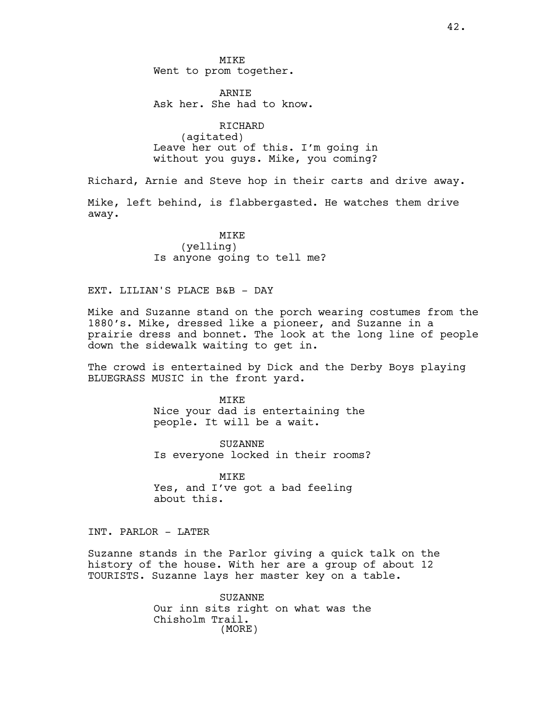MIKE Went to prom together.

**ARNTE** Ask her. She had to know.

RICHARD (agitated) Leave her out of this. I'm going in without you guys. Mike, you coming?

Richard, Arnie and Steve hop in their carts and drive away.

Mike, left behind, is flabbergasted. He watches them drive away.

> MIKE (yelling) Is anyone going to tell me?

EXT. LILIAN'S PLACE B&B - DAY

Mike and Suzanne stand on the porch wearing costumes from the 1880's. Mike, dressed like a pioneer, and Suzanne in a prairie dress and bonnet. The look at the long line of people down the sidewalk waiting to get in.

The crowd is entertained by Dick and the Derby Boys playing BLUEGRASS MUSIC in the front yard.

> MTK<sub>E</sub> Nice your dad is entertaining the people. It will be a wait.

SUZANNE Is everyone locked in their rooms?

MIKE Yes, and I've got a bad feeling about this.

INT. PARLOR - LATER

Suzanne stands in the Parlor giving a quick talk on the history of the house. With her are a group of about 12 TOURISTS. Suzanne lays her master key on a table.

> SUZANNE Our inn sits right on what was the Chisholm Trail. (MORE)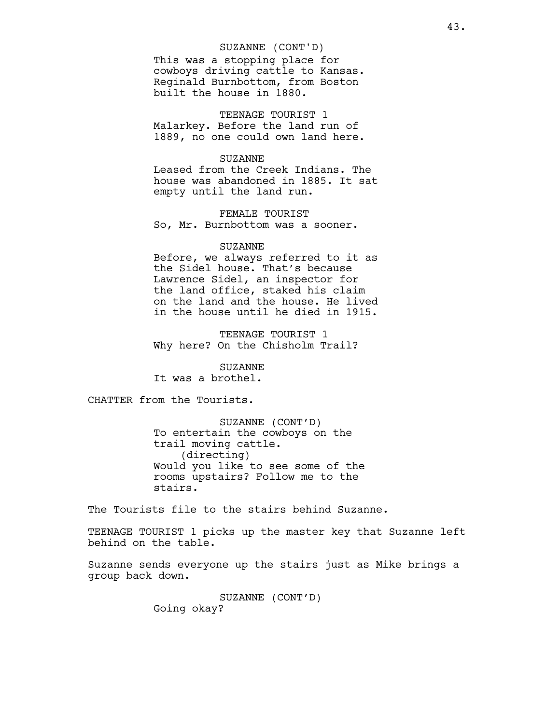# SUZANNE (CONT'D)

This was a stopping place for cowboys driving cattle to Kansas. Reginald Burnbottom, from Boston built the house in 1880.

TEENAGE TOURIST 1 Malarkey. Before the land run of 1889, no one could own land here.

### SUZANNE

Leased from the Creek Indians. The house was abandoned in 1885. It sat empty until the land run.

FEMALE TOURIST So, Mr. Burnbottom was a sooner.

### SUZANNE

Before, we always referred to it as the Sidel house. That's because Lawrence Sidel, an inspector for the land office, staked his claim on the land and the house. He lived in the house until he died in 1915.

TEENAGE TOURIST 1 Why here? On the Chisholm Trail?

# SUZANNE

It was a brothel.

CHATTER from the Tourists.

SUZANNE (CONT'D) To entertain the cowboys on the trail moving cattle. (directing) Would you like to see some of the rooms upstairs? Follow me to the stairs.

The Tourists file to the stairs behind Suzanne.

TEENAGE TOURIST 1 picks up the master key that Suzanne left behind on the table.

Suzanne sends everyone up the stairs just as Mike brings a group back down.

> SUZANNE (CONT'D) Going okay?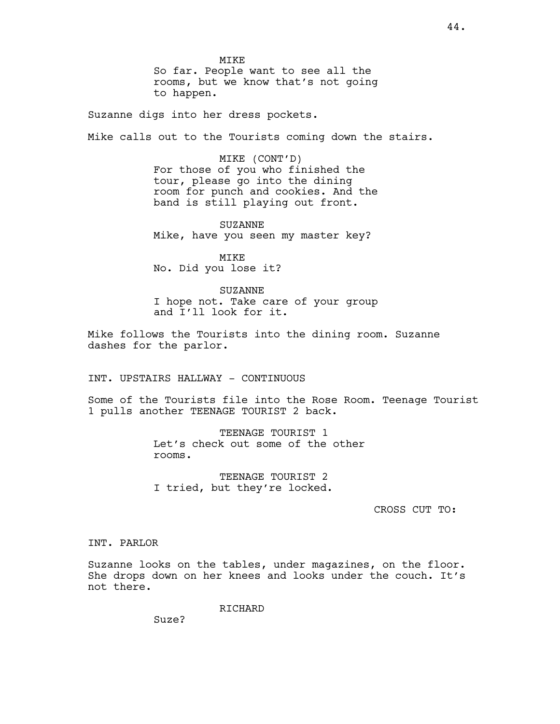MIKE So far. People want to see all the rooms, but we know that's not going to happen.

Suzanne digs into her dress pockets.

Mike calls out to the Tourists coming down the stairs.

MIKE (CONT'D) For those of you who finished the tour, please go into the dining room for punch and cookies. And the band is still playing out front.

SUZANNE Mike, have you seen my master key?

MIKE No. Did you lose it?

SUZANNE I hope not. Take care of your group and I'll look for it.

Mike follows the Tourists into the dining room. Suzanne dashes for the parlor.

INT. UPSTAIRS HALLWAY - CONTINUOUS

Some of the Tourists file into the Rose Room. Teenage Tourist 1 pulls another TEENAGE TOURIST 2 back.

> TEENAGE TOURIST 1 Let's check out some of the other rooms.

TEENAGE TOURIST 2 I tried, but they're locked.

CROSS CUT TO:

# INT. PARLOR

Suzanne looks on the tables, under magazines, on the floor. She drops down on her knees and looks under the couch. It's not there.

RICHARD

Suze?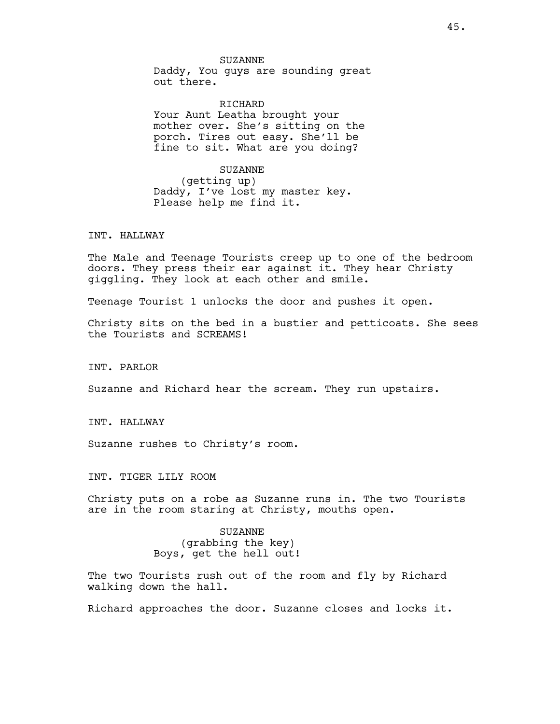### RICHARD

Your Aunt Leatha brought your mother over. She's sitting on the porch. Tires out easy. She'll be fine to sit. What are you doing?

# SUZANNE

(getting up) Daddy, I've lost my master key. Please help me find it.

# INT. HALLWAY

The Male and Teenage Tourists creep up to one of the bedroom doors. They press their ear against it. They hear Christy giggling. They look at each other and smile.

Teenage Tourist 1 unlocks the door and pushes it open.

Christy sits on the bed in a bustier and petticoats. She sees the Tourists and SCREAMS!

INT. PARLOR

Suzanne and Richard hear the scream. They run upstairs.

INT. HALLWAY

Suzanne rushes to Christy's room.

INT. TIGER LILY ROOM

Christy puts on a robe as Suzanne runs in. The two Tourists are in the room staring at Christy, mouths open.

> SUZANNE (grabbing the key) Boys, get the hell out!

The two Tourists rush out of the room and fly by Richard walking down the hall.

Richard approaches the door. Suzanne closes and locks it.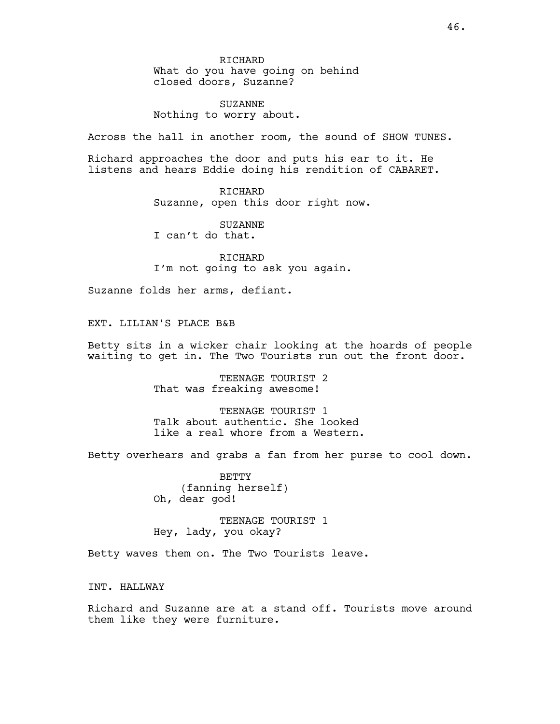RICHARD What do you have going on behind closed doors, Suzanne?

SUZANNE Nothing to worry about.

Across the hall in another room, the sound of SHOW TUNES.

Richard approaches the door and puts his ear to it. He listens and hears Eddie doing his rendition of CABARET.

> RICHARD Suzanne, open this door right now.

SUZANNE I can't do that.

RICHARD I'm not going to ask you again.

Suzanne folds her arms, defiant.

EXT. LILIAN'S PLACE B&B

Betty sits in a wicker chair looking at the hoards of people waiting to get in. The Two Tourists run out the front door.

> TEENAGE TOURIST 2 That was freaking awesome!

TEENAGE TOURIST 1 Talk about authentic. She looked like a real whore from a Western.

Betty overhears and grabs a fan from her purse to cool down.

BETTY (fanning herself) Oh, dear god!

TEENAGE TOURIST 1 Hey, lady, you okay?

Betty waves them on. The Two Tourists leave.

INT. HALLWAY

Richard and Suzanne are at a stand off. Tourists move around them like they were furniture.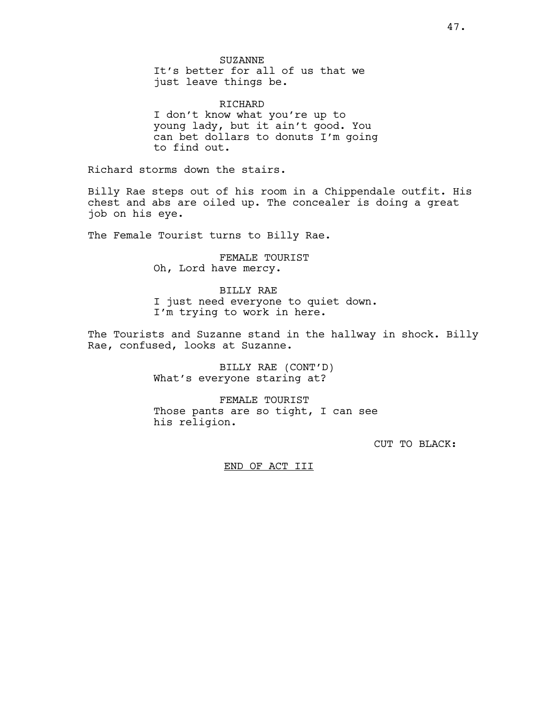RICHARD I don't know what you're up to young lady, but it ain't good. You can bet dollars to donuts I'm going to find out.

Richard storms down the stairs.

Billy Rae steps out of his room in a Chippendale outfit. His chest and abs are oiled up. The concealer is doing a great job on his eye.

The Female Tourist turns to Billy Rae.

FEMALE TOURIST Oh, Lord have mercy.

BILLY RAE I just need everyone to quiet down. I'm trying to work in here.

The Tourists and Suzanne stand in the hallway in shock. Billy Rae, confused, looks at Suzanne.

> BILLY RAE (CONT'D) What's everyone staring at?

FEMALE TOURIST Those pants are so tight, I can see his religion.

CUT TO BLACK:

END OF ACT III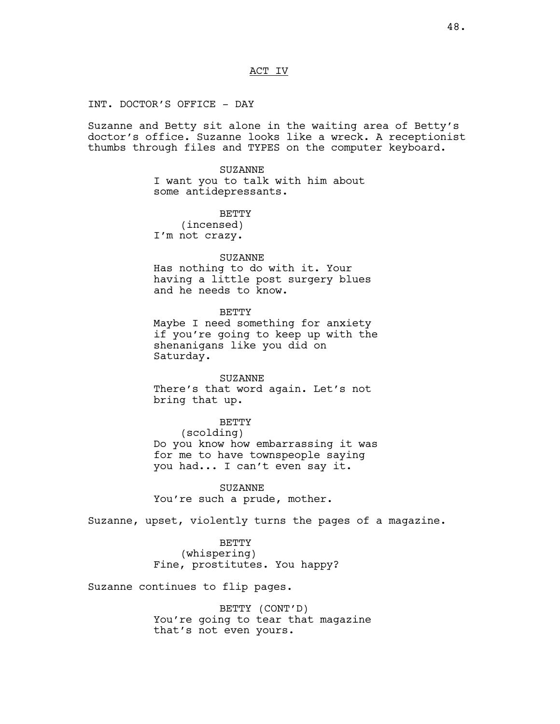# ACT IV

INT. DOCTOR'S OFFICE - DAY

Suzanne and Betty sit alone in the waiting area of Betty's doctor's office. Suzanne looks like a wreck. A receptionist thumbs through files and TYPES on the computer keyboard.

> SUZANNE I want you to talk with him about some antidepressants.

**BETTY** (incensed) I'm not crazy.

### SUZANNE

Has nothing to do with it. Your having a little post surgery blues and he needs to know.

BETTY

Maybe I need something for anxiety if you're going to keep up with the shenanigans like you did on Saturday.

#### SUZANNE

There's that word again. Let's not bring that up.

BETTY

# (scolding)

Do you know how embarrassing it was for me to have townspeople saying you had... I can't even say it.

SUZANNE You're such a prude, mother.

Suzanne, upset, violently turns the pages of a magazine.

BETTY (whispering) Fine, prostitutes. You happy?

Suzanne continues to flip pages.

BETTY (CONT'D) You're going to tear that magazine that's not even yours.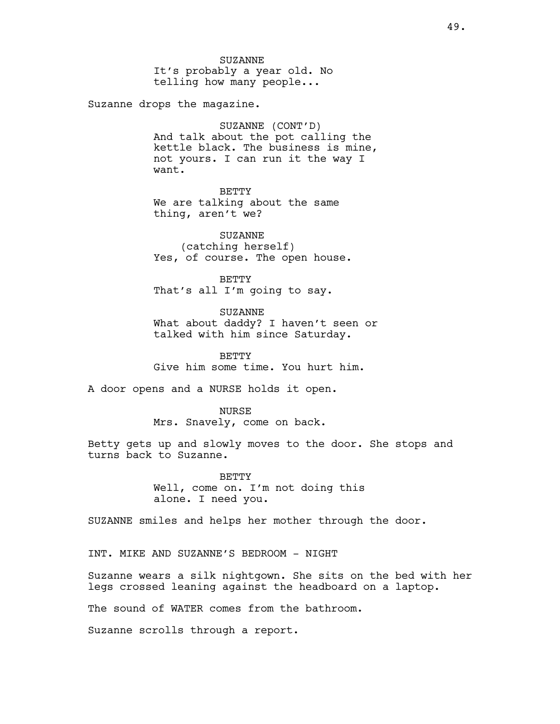SUZANNE It's probably a year old. No telling how many people...

Suzanne drops the magazine.

SUZANNE (CONT'D) And talk about the pot calling the kettle black. The business is mine, not yours. I can run it the way I want.

**BETTY** We are talking about the same thing, aren't we?

SUZANNE (catching herself) Yes, of course. The open house.

BETTY That's all I'm going to say.

SUZANNE What about daddy? I haven't seen or talked with him since Saturday.

**BETTY** Give him some time. You hurt him.

A door opens and a NURSE holds it open.

NURSE Mrs. Snavely, come on back.

Betty gets up and slowly moves to the door. She stops and turns back to Suzanne.

> BETTY Well, come on. I'm not doing this alone. I need you.

SUZANNE smiles and helps her mother through the door.

INT. MIKE AND SUZANNE'S BEDROOM - NIGHT

Suzanne wears a silk nightgown. She sits on the bed with her legs crossed leaning against the headboard on a laptop.

The sound of WATER comes from the bathroom.

Suzanne scrolls through a report.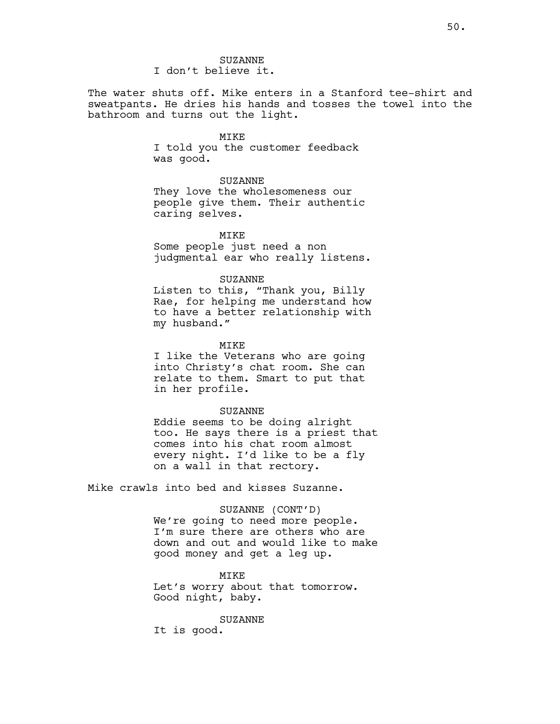# SUZANNE I don't believe it.

The water shuts off. Mike enters in a Stanford tee-shirt and sweatpants. He dries his hands and tosses the towel into the bathroom and turns out the light.

# MIKE

I told you the customer feedback was good.

# SUZANNE

They love the wholesomeness our people give them. Their authentic caring selves.

### MIKE

Some people just need a non judgmental ear who really listens.

# SUZANNE

Listen to this, "Thank you, Billy Rae, for helping me understand how to have a better relationship with my husband."

#### MIKE

I like the Veterans who are going into Christy's chat room. She can relate to them. Smart to put that in her profile.

# SUZANNE

Eddie seems to be doing alright too. He says there is a priest that comes into his chat room almost every night. I'd like to be a fly on a wall in that rectory.

Mike crawls into bed and kisses Suzanne.

# SUZANNE (CONT'D)

We're going to need more people. I'm sure there are others who are down and out and would like to make good money and get a leg up.

# MTK<sub>E</sub> Let's worry about that tomorrow. Good night, baby.

#### SUZANNE

It is good.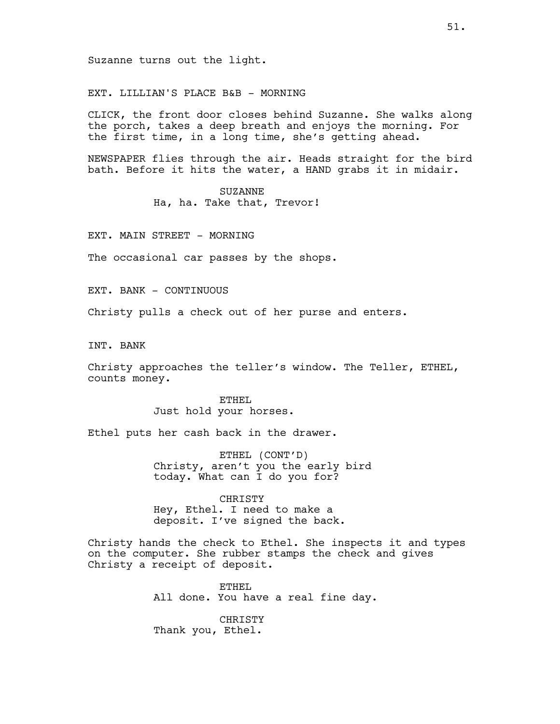EXT. LILLIAN'S PLACE B&B - MORNING

CLICK, the front door closes behind Suzanne. She walks along the porch, takes a deep breath and enjoys the morning. For the first time, in a long time, she's getting ahead.

NEWSPAPER flies through the air. Heads straight for the bird bath. Before it hits the water, a HAND grabs it in midair.

> SUZANNE Ha, ha. Take that, Trevor!

EXT. MAIN STREET - MORNING

The occasional car passes by the shops.

EXT. BANK - CONTINUOUS

Christy pulls a check out of her purse and enters.

INT. BANK

Christy approaches the teller's window. The Teller, ETHEL, counts money.

> ETHEL Just hold your horses.

Ethel puts her cash back in the drawer.

ETHEL (CONT'D) Christy, aren't you the early bird today. What can I do you for?

CHRISTY Hey, Ethel. I need to make a deposit. I've signed the back.

Christy hands the check to Ethel. She inspects it and types on the computer. She rubber stamps the check and gives Christy a receipt of deposit.

> ETHEL All done. You have a real fine day.

CHRISTY Thank you, Ethel.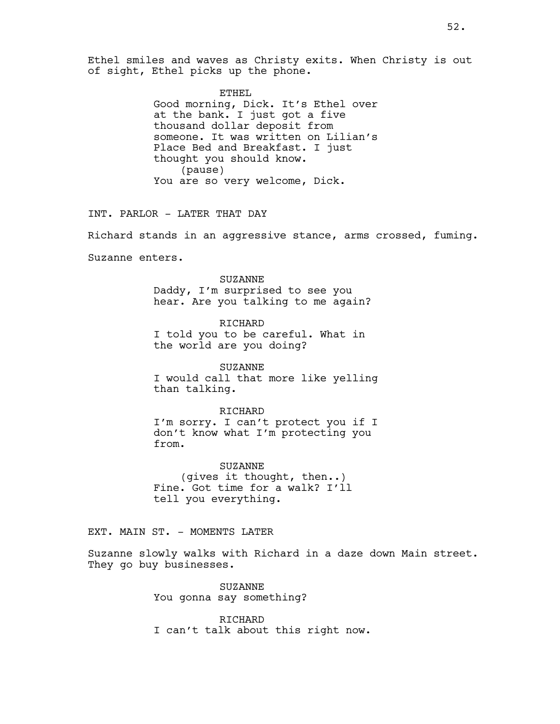Ethel smiles and waves as Christy exits. When Christy is out of sight, Ethel picks up the phone.

ETHEL

Good morning, Dick. It's Ethel over at the bank. I just got a five thousand dollar deposit from someone. It was written on Lilian's Place Bed and Breakfast. I just thought you should know. (pause) You are so very welcome, Dick.

INT. PARLOR - LATER THAT DAY

Richard stands in an aggressive stance, arms crossed, fuming.

Suzanne enters.

SUZANNE Daddy, I'm surprised to see you hear. Are you talking to me again?

RICHARD I told you to be careful. What in the world are you doing?

SUZANNE I would call that more like yelling than talking.

RICHARD I'm sorry. I can't protect you if I don't know what I'm protecting you from.

SUZANNE (gives it thought, then..) Fine. Got time for a walk? I'll tell you everything.

EXT. MAIN ST. - MOMENTS LATER

Suzanne slowly walks with Richard in a daze down Main street. They go buy businesses.

> SUZANNE You gonna say something?

RICHARD I can't talk about this right now.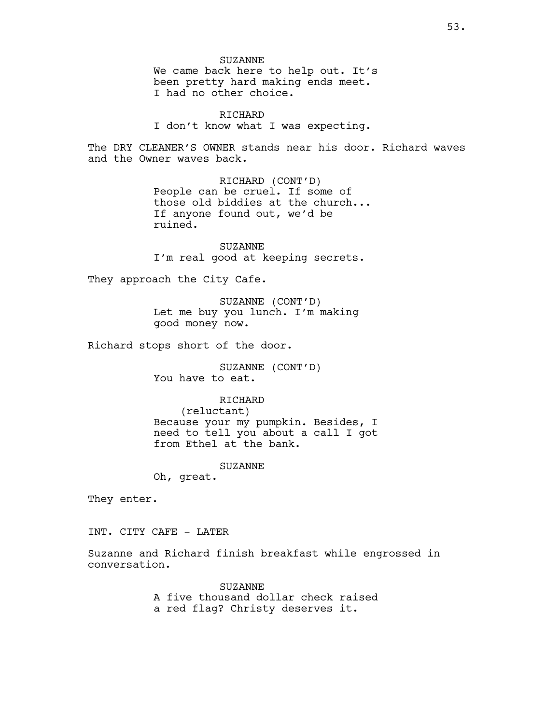SUZANNE We came back here to help out. It's been pretty hard making ends meet. I had no other choice.

RICHARD I don't know what I was expecting.

The DRY CLEANER'S OWNER stands near his door. Richard waves and the Owner waves back.

> RICHARD (CONT'D) People can be cruel. If some of those old biddies at the church... If anyone found out, we'd be ruined.

SUZANNE I'm real good at keeping secrets.

They approach the City Cafe.

SUZANNE (CONT'D) Let me buy you lunch. I'm making good money now.

Richard stops short of the door.

SUZANNE (CONT'D) You have to eat.

# RICHARD

(reluctant) Because your my pumpkin. Besides, I need to tell you about a call I got from Ethel at the bank.

SUZANNE

Oh, great.

They enter.

INT. CITY CAFE - LATER

Suzanne and Richard finish breakfast while engrossed in conversation.

> SUZANNE A five thousand dollar check raised a red flag? Christy deserves it.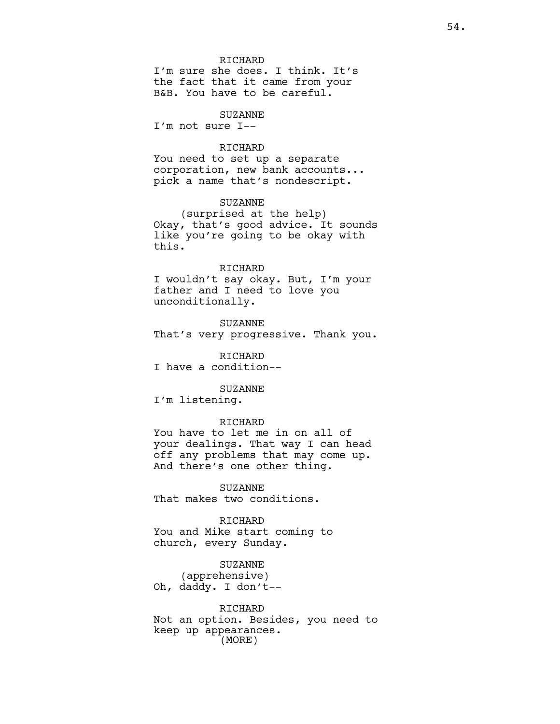### RICHARD

I'm sure she does. I think. It's the fact that it came from your B&B. You have to be careful.

# SUZANNE

I'm not sure I--

#### RICHARD

You need to set up a separate corporation, new bank accounts... pick a name that's nondescript.

# SUZANNE

(surprised at the help) Okay, that's good advice. It sounds like you're going to be okay with this.

#### RICHARD

I wouldn't say okay. But, I'm your father and I need to love you unconditionally.

SUZANNE That's very progressive. Thank you.

RICHARD I have a condition--

### SUZANNE

I'm listening.

# RICHARD

You have to let me in on all of your dealings. That way I can head off any problems that may come up. And there's one other thing.

SUZANNE That makes two conditions.

RICHARD You and Mike start coming to church, every Sunday.

SUZANNE (apprehensive) Oh, daddy. I don't--

RICHARD Not an option. Besides, you need to keep up appearances. (MORE)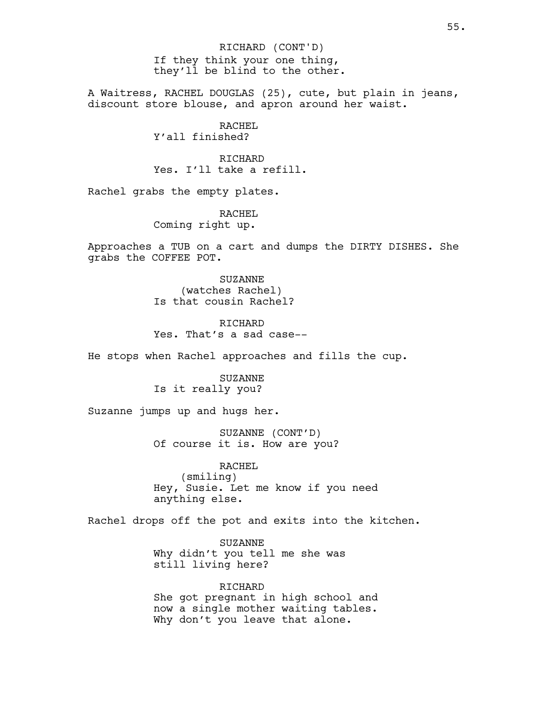If they think your one thing, they'll be blind to the other. RICHARD (CONT'D)

A Waitress, RACHEL DOUGLAS (25), cute, but plain in jeans, discount store blouse, and apron around her waist.

> RACHEL Y'all finished?

RICHARD Yes. I'll take a refill.

Rachel grabs the empty plates.

RACHEL Coming right up.

Approaches a TUB on a cart and dumps the DIRTY DISHES. She grabs the COFFEE POT.

> SUZANNE (watches Rachel) Is that cousin Rachel?

RICHARD Yes. That's a sad case--

He stops when Rachel approaches and fills the cup.

SUZANNE Is it really you?

Suzanne jumps up and hugs her.

SUZANNE (CONT'D) Of course it is. How are you?

RACHEL (smiling) Hey, Susie. Let me know if you need anything else.

Rachel drops off the pot and exits into the kitchen.

SUZANNE Why didn't you tell me she was still living here?

RICHARD She got pregnant in high school and now a single mother waiting tables. Why don't you leave that alone.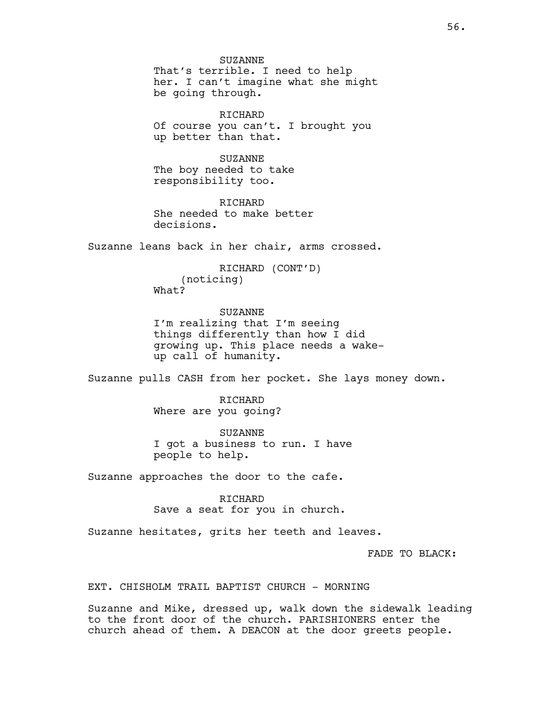SUZANNE That's terrible. I need to help her. I can't imagine what she might be going through.

RICHARD Of course you can't. I brought you up better than that.

SUZANNE The boy needed to take responsibility too.

RICHARD She needed to make better decisions.

Suzanne leans back in her chair, arms crossed.

RICHARD (CONT'D) (noticing) What?

SUZANNE I'm realizing that I'm seeing things differently than how I did growing up. This place needs a wakeup call of humanity.

Suzanne pulls CASH from her pocket. She lays money down.

RICHARD Where are you going?

SUZANNE I got a business to run. I have people to help.

Suzanne approaches the door to the cafe.

RICHARD Save a seat for you in church.

Suzanne hesitates, grits her teeth and leaves.

FADE TO BLACK:

EXT. CHISHOLM TRAIL BAPTIST CHURCH - MORNING

Suzanne and Mike, dressed up, walk down the sidewalk leading to the front door of the church. PARISHIONERS enter the church ahead of them. A DEACON at the door greets people.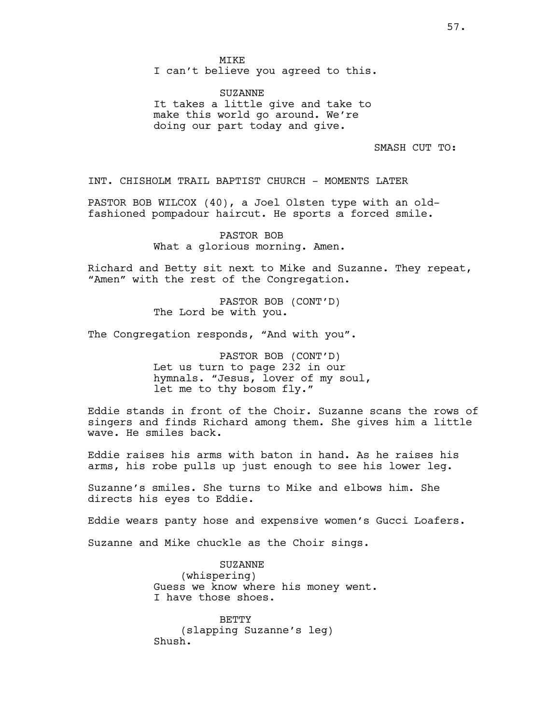I can't believe you agreed to this.

SUZANNE It takes a little give and take to make this world go around. We're doing our part today and give.

SMASH CUT TO:

INT. CHISHOLM TRAIL BAPTIST CHURCH - MOMENTS LATER

PASTOR BOB WILCOX (40), a Joel Olsten type with an oldfashioned pompadour haircut. He sports a forced smile.

> PASTOR BOB What a glorious morning. Amen.

Richard and Betty sit next to Mike and Suzanne. They repeat, "Amen" with the rest of the Congregation.

> PASTOR BOB (CONT'D) The Lord be with you.

The Congregation responds, "And with you".

PASTOR BOB (CONT'D) Let us turn to page 232 in our hymnals. "Jesus, lover of my soul, let me to thy bosom fly."

Eddie stands in front of the Choir. Suzanne scans the rows of singers and finds Richard among them. She gives him a little wave. He smiles back.

Eddie raises his arms with baton in hand. As he raises his arms, his robe pulls up just enough to see his lower leg.

Suzanne's smiles. She turns to Mike and elbows him. She directs his eyes to Eddie.

Eddie wears panty hose and expensive women's Gucci Loafers.

Suzanne and Mike chuckle as the Choir sings.

SUZANNE (whispering) Guess we know where his money went. I have those shoes.

BETTY (slapping Suzanne's leg) Shush.